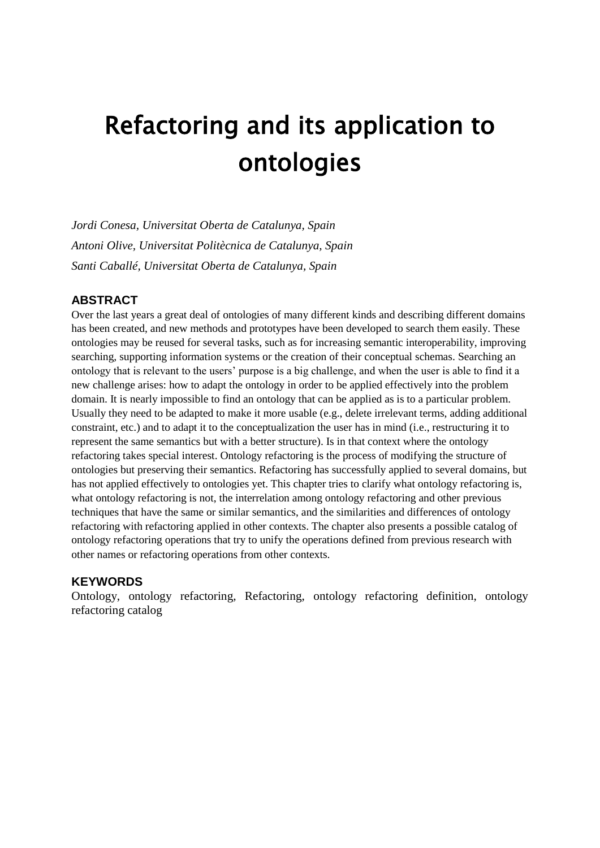# Refactoring and its application to ontologies

*Jordi Conesa, Universitat Oberta de Catalunya, Spain Antoni Olive, Universitat Politècnica de Catalunya, Spain Santi Caballé, Universitat Oberta de Catalunya, Spain*

# **ABSTRACT**

Over the last years a great deal of ontologies of many different kinds and describing different domains has been created, and new methods and prototypes have been developed to search them easily. These ontologies may be reused for several tasks, such as for increasing semantic interoperability, improving searching, supporting information systems or the creation of their conceptual schemas. Searching an ontology that is relevant to the users' purpose is a big challenge, and when the user is able to find it a new challenge arises: how to adapt the ontology in order to be applied effectively into the problem domain. It is nearly impossible to find an ontology that can be applied as is to a particular problem. Usually they need to be adapted to make it more usable (e.g., delete irrelevant terms, adding additional constraint, etc.) and to adapt it to the conceptualization the user has in mind (i.e., restructuring it to represent the same semantics but with a better structure). Is in that context where the ontology refactoring takes special interest. Ontology refactoring is the process of modifying the structure of ontologies but preserving their semantics. Refactoring has successfully applied to several domains, but has not applied effectively to ontologies yet. This chapter tries to clarify what ontology refactoring is, what ontology refactoring is not, the interrelation among ontology refactoring and other previous techniques that have the same or similar semantics, and the similarities and differences of ontology refactoring with refactoring applied in other contexts. The chapter also presents a possible catalog of ontology refactoring operations that try to unify the operations defined from previous research with other names or refactoring operations from other contexts.

# **KEYWORDS**

Ontology, ontology refactoring, Refactoring, ontology refactoring definition, ontology refactoring catalog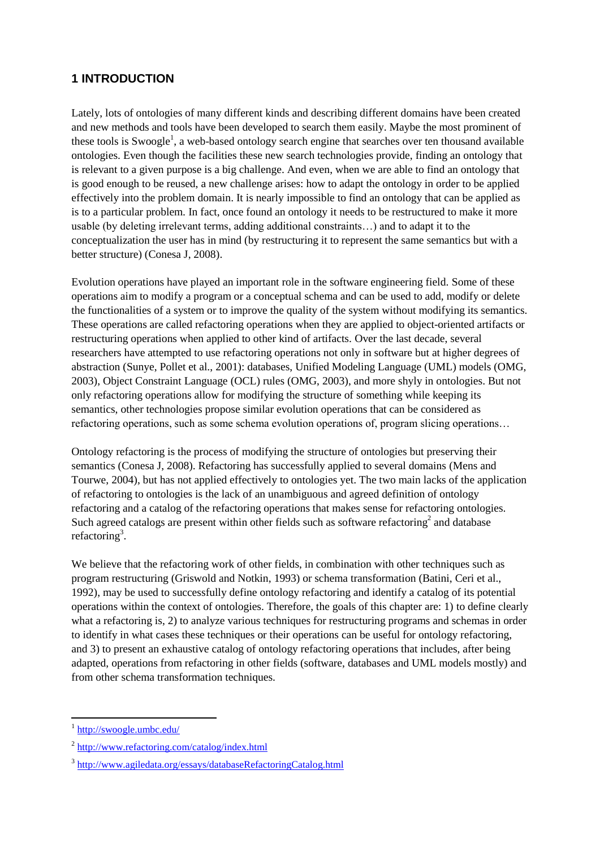# **1 INTRODUCTION**

Lately, lots of ontologies of many different kinds and describing different domains have been created and new methods and tools have been developed to search them easily. Maybe the most prominent of these tools is Swoogle<sup>1</sup>, a web-based ontology search engine that searches over ten thousand available ontologies. Even though the facilities these new search technologies provide, finding an ontology that is relevant to a given purpose is a big challenge. And even, when we are able to find an ontology that is good enough to be reused, a new challenge arises: how to adapt the ontology in order to be applied effectively into the problem domain. It is nearly impossible to find an ontology that can be applied as is to a particular problem. In fact, once found an ontology it needs to be restructured to make it more usable (by deleting irrelevant terms, adding additional constraints…) and to adapt it to the conceptualization the user has in mind (by restructuring it to represent the same semantics but with a better structure) (Conesa J, 2008).

Evolution operations have played an important role in the software engineering field. Some of these operations aim to modify a program or a conceptual schema and can be used to add, modify or delete the functionalities of a system or to improve the quality of the system without modifying its semantics. These operations are called refactoring operations when they are applied to object-oriented artifacts or restructuring operations when applied to other kind of artifacts. Over the last decade, several researchers have attempted to use refactoring operations not only in software but at higher degrees of abstraction (Sunye, Pollet et al., 2001): databases, Unified Modeling Language (UML) models (OMG, 2003), Object Constraint Language (OCL) rules (OMG, 2003), and more shyly in ontologies. But not only refactoring operations allow for modifying the structure of something while keeping its semantics, other technologies propose similar evolution operations that can be considered as refactoring operations, such as some schema evolution operations of, program slicing operations…

Ontology refactoring is the process of modifying the structure of ontologies but preserving their semantics (Conesa J, 2008). Refactoring has successfully applied to several domains (Mens and Tourwe, 2004), but has not applied effectively to ontologies yet. The two main lacks of the application of refactoring to ontologies is the lack of an unambiguous and agreed definition of ontology refactoring and a catalog of the refactoring operations that makes sense for refactoring ontologies. Such agreed catalogs are present within other fields such as software refactoring<sup>2</sup> and database refactoring<sup>3</sup>.

We believe that the refactoring work of other fields, in combination with other techniques such as program restructuring (Griswold and Notkin, 1993) or schema transformation (Batini, Ceri et al., 1992), may be used to successfully define ontology refactoring and identify a catalog of its potential operations within the context of ontologies. Therefore, the goals of this chapter are: 1) to define clearly what a refactoring is, 2) to analyze various techniques for restructuring programs and schemas in order to identify in what cases these techniques or their operations can be useful for ontology refactoring, and 3) to present an exhaustive catalog of ontology refactoring operations that includes, after being adapted, operations from refactoring in other fields (software, databases and UML models mostly) and from other schema transformation techniques.

<sup>&</sup>lt;sup>1</sup> <http://swoogle.umbc.edu/>

<sup>&</sup>lt;sup>2</sup> <http://www.refactoring.com/catalog/index.html>

<sup>&</sup>lt;sup>3</sup> <http://www.agiledata.org/essays/databaseRefactoringCatalog.html>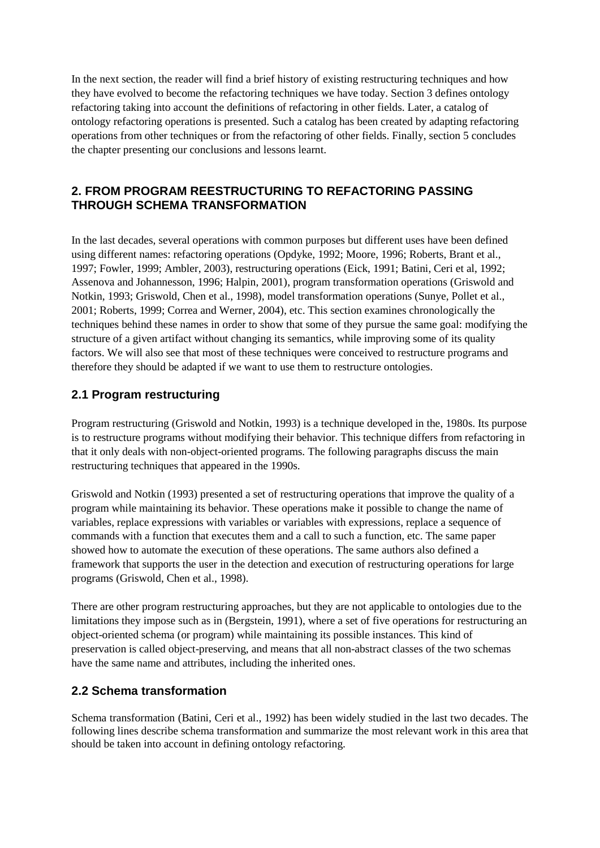In the next section, the reader will find a brief history of existing restructuring techniques and how they have evolved to become the refactoring techniques we have today. Section 3 defines ontology refactoring taking into account the definitions of refactoring in other fields. Later, a catalog of ontology refactoring operations is presented. Such a catalog has been created by adapting refactoring operations from other techniques or from the refactoring of other fields. Finally, section 5 concludes the chapter presenting our conclusions and lessons learnt.

# **2. FROM PROGRAM REESTRUCTURING TO REFACTORING PASSING THROUGH SCHEMA TRANSFORMATION**

In the last decades, several operations with common purposes but different uses have been defined using different names: refactoring operations (Opdyke, 1992; Moore, 1996; Roberts, Brant et al., 1997; Fowler, 1999; Ambler, 2003), restructuring operations (Eick, 1991; Batini, Ceri et al, 1992; Assenova and Johannesson, 1996; Halpin, 2001), program transformation operations (Griswold and Notkin, 1993; Griswold, Chen et al., 1998), model transformation operations (Sunye, Pollet et al., 2001; Roberts, 1999; Correa and Werner, 2004), etc. This section examines chronologically the techniques behind these names in order to show that some of they pursue the same goal: modifying the structure of a given artifact without changing its semantics, while improving some of its quality factors. We will also see that most of these techniques were conceived to restructure programs and therefore they should be adapted if we want to use them to restructure ontologies.

# **2.1 Program restructuring**

Program restructuring (Griswold and Notkin, 1993) is a technique developed in the, 1980s. Its purpose is to restructure programs without modifying their behavior. This technique differs from refactoring in that it only deals with non-object-oriented programs. The following paragraphs discuss the main restructuring techniques that appeared in the 1990s.

Griswold and Notkin (1993) presented a set of restructuring operations that improve the quality of a program while maintaining its behavior. These operations make it possible to change the name of variables, replace expressions with variables or variables with expressions, replace a sequence of commands with a function that executes them and a call to such a function, etc. The same paper showed how to automate the execution of these operations. The same authors also defined a framework that supports the user in the detection and execution of restructuring operations for large programs (Griswold, Chen et al., 1998).

There are other program restructuring approaches, but they are not applicable to ontologies due to the limitations they impose such as in (Bergstein, 1991), where a set of five operations for restructuring an object-oriented schema (or program) while maintaining its possible instances. This kind of preservation is called object-preserving, and means that all non-abstract classes of the two schemas have the same name and attributes, including the inherited ones.

# **2.2 Schema transformation**

Schema transformation (Batini, Ceri et al., 1992) has been widely studied in the last two decades. The following lines describe schema transformation and summarize the most relevant work in this area that should be taken into account in defining ontology refactoring.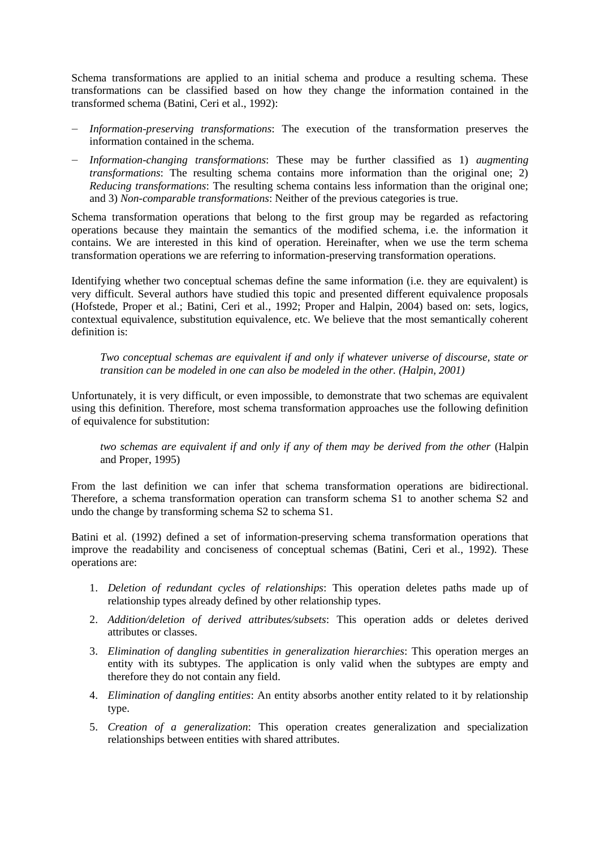Schema transformations are applied to an initial schema and produce a resulting schema. These transformations can be classified based on how they change the information contained in the transformed schema (Batini, Ceri et al., 1992):

- ― *Information-preserving transformations*: The execution of the transformation preserves the information contained in the schema.
- ― *Information-changing transformations*: These may be further classified as 1) *augmenting transformations*: The resulting schema contains more information than the original one; 2) *Reducing transformations*: The resulting schema contains less information than the original one; and 3) *Non-comparable transformations*: Neither of the previous categories is true.

Schema transformation operations that belong to the first group may be regarded as refactoring operations because they maintain the semantics of the modified schema, i.e. the information it contains. We are interested in this kind of operation. Hereinafter, when we use the term schema transformation operations we are referring to information-preserving transformation operations.

Identifying whether two conceptual schemas define the same information (i.e. they are equivalent) is very difficult. Several authors have studied this topic and presented different equivalence proposals (Hofstede, Proper et al.; Batini, Ceri et al., 1992; Proper and Halpin, 2004) based on: sets, logics, contextual equivalence, substitution equivalence, etc. We believe that the most semantically coherent definition is:

*Two conceptual schemas are equivalent if and only if whatever universe of discourse, state or transition can be modeled in one can also be modeled in the other. (Halpin, 2001)*

Unfortunately, it is very difficult, or even impossible, to demonstrate that two schemas are equivalent using this definition. Therefore, most schema transformation approaches use the following definition of equivalence for substitution:

*two schemas are equivalent if and only if any of them may be derived from the other* (Halpin and Proper, 1995)

From the last definition we can infer that schema transformation operations are bidirectional. Therefore, a schema transformation operation can transform schema S1 to another schema S2 and undo the change by transforming schema S2 to schema S1.

Batini et al. (1992) defined a set of information-preserving schema transformation operations that improve the readability and conciseness of conceptual schemas (Batini, Ceri et al., 1992). These operations are:

- 1. *Deletion of redundant cycles of relationships*: This operation deletes paths made up of relationship types already defined by other relationship types.
- 2. *Addition/deletion of derived attributes/subsets*: This operation adds or deletes derived attributes or classes.
- 3. *Elimination of dangling subentities in generalization hierarchies*: This operation merges an entity with its subtypes. The application is only valid when the subtypes are empty and therefore they do not contain any field.
- 4. *Elimination of dangling entities*: An entity absorbs another entity related to it by relationship type.
- 5. *Creation of a generalization*: This operation creates generalization and specialization relationships between entities with shared attributes.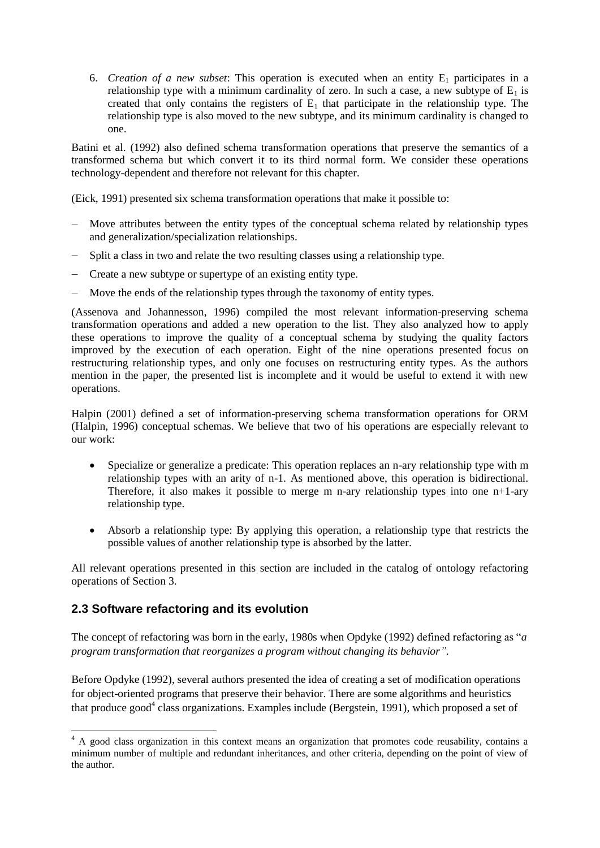6. *Creation of a new subset*: This operation is executed when an entity  $E_1$  participates in a relationship type with a minimum cardinality of zero. In such a case, a new subtype of  $E_1$  is created that only contains the registers of  $E_1$  that participate in the relationship type. The relationship type is also moved to the new subtype, and its minimum cardinality is changed to one.

Batini et al. (1992) also defined schema transformation operations that preserve the semantics of a transformed schema but which convert it to its third normal form. We consider these operations technology-dependent and therefore not relevant for this chapter.

(Eick, 1991) presented six schema transformation operations that make it possible to:

- Move attributes between the entity types of the conceptual schema related by relationship types and generalization/specialization relationships.
- ― Split a class in two and relate the two resulting classes using a relationship type.
- ― Create a new subtype or supertype of an existing entity type.
- ― Move the ends of the relationship types through the taxonomy of entity types.

(Assenova and Johannesson, 1996) compiled the most relevant information-preserving schema transformation operations and added a new operation to the list. They also analyzed how to apply these operations to improve the quality of a conceptual schema by studying the quality factors improved by the execution of each operation. Eight of the nine operations presented focus on restructuring relationship types, and only one focuses on restructuring entity types. As the authors mention in the paper, the presented list is incomplete and it would be useful to extend it with new operations.

Halpin (2001) defined a set of information-preserving schema transformation operations for ORM (Halpin, 1996) conceptual schemas. We believe that two of his operations are especially relevant to our work:

- Specialize or generalize a predicate: This operation replaces an n-ary relationship type with m relationship types with an arity of n-1. As mentioned above, this operation is bidirectional. Therefore, it also makes it possible to merge m n-ary relationship types into one  $n+1$ -ary relationship type.
- Absorb a relationship type: By applying this operation, a relationship type that restricts the possible values of another relationship type is absorbed by the latter.

All relevant operations presented in this section are included in the catalog of ontology refactoring operations of Section 3.

# **2.3 Software refactoring and its evolution**

 $\overline{a}$ 

The concept of refactoring was born in the early, 1980s when Opdyke (1992) defined refactoring as "*a program transformation that reorganizes a program without changing its behavior".*

Before Opdyke (1992), several authors presented the idea of creating a set of modification operations for object-oriented programs that preserve their behavior. There are some algorithms and heuristics that produce good<sup>4</sup> class organizations. Examples include (Bergstein, 1991), which proposed a set of

<sup>&</sup>lt;sup>4</sup> A good class organization in this context means an organization that promotes code reusability, contains a minimum number of multiple and redundant inheritances, and other criteria, depending on the point of view of the author.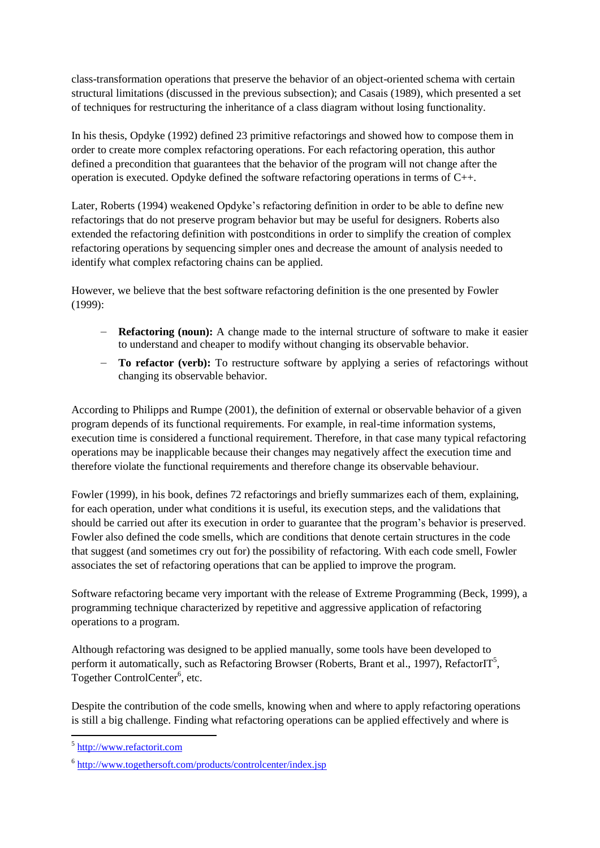class-transformation operations that preserve the behavior of an object-oriented schema with certain structural limitations (discussed in the previous subsection); and Casais (1989), which presented a set of techniques for restructuring the inheritance of a class diagram without losing functionality.

In his thesis, Opdyke (1992) defined 23 primitive refactorings and showed how to compose them in order to create more complex refactoring operations. For each refactoring operation, this author defined a precondition that guarantees that the behavior of the program will not change after the operation is executed. Opdyke defined the software refactoring operations in terms of C++.

Later, Roberts (1994) weakened Opdyke's refactoring definition in order to be able to define new refactorings that do not preserve program behavior but may be useful for designers. Roberts also extended the refactoring definition with postconditions in order to simplify the creation of complex refactoring operations by sequencing simpler ones and decrease the amount of analysis needed to identify what complex refactoring chains can be applied.

However, we believe that the best software refactoring definition is the one presented by Fowler (1999):

- ― **Refactoring (noun):** A change made to the internal structure of software to make it easier to understand and cheaper to modify without changing its observable behavior.
- To refactor (verb): To restructure software by applying a series of refactorings without changing its observable behavior.

According to Philipps and Rumpe (2001), the definition of external or observable behavior of a given program depends of its functional requirements. For example, in real-time information systems, execution time is considered a functional requirement. Therefore, in that case many typical refactoring operations may be inapplicable because their changes may negatively affect the execution time and therefore violate the functional requirements and therefore change its observable behaviour.

Fowler (1999), in his book, defines 72 refactorings and briefly summarizes each of them, explaining, for each operation, under what conditions it is useful, its execution steps, and the validations that should be carried out after its execution in order to guarantee that the program's behavior is preserved. Fowler also defined the code smells, which are conditions that denote certain structures in the code that suggest (and sometimes cry out for) the possibility of refactoring. With each code smell, Fowler associates the set of refactoring operations that can be applied to improve the program.

Software refactoring became very important with the release of Extreme Programming (Beck, 1999), a programming technique characterized by repetitive and aggressive application of refactoring operations to a program.

Although refactoring was designed to be applied manually, some tools have been developed to perform it automatically, such as Refactoring Browser (Roberts, Brant et al., 1997), Refactor $IT^5$ , Together ControlCenter<sup>6</sup>, etc.

Despite the contribution of the code smells, knowing when and where to apply refactoring operations is still a big challenge. Finding what refactoring operations can be applied effectively and where is

 $\overline{a}$ 

<sup>&</sup>lt;sup>5</sup> [http://www.refactorit.com](http://www.refactorit.com/)

<sup>&</sup>lt;sup>6</sup> <http://www.togethersoft.com/products/controlcenter/index.jsp>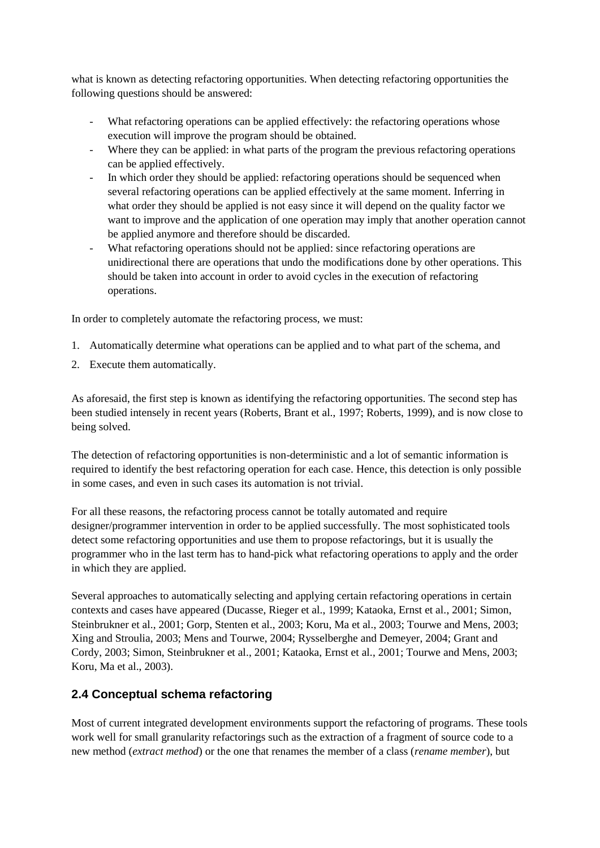what is known as detecting refactoring opportunities. When detecting refactoring opportunities the following questions should be answered:

- What refactoring operations can be applied effectively: the refactoring operations whose execution will improve the program should be obtained.
- Where they can be applied: in what parts of the program the previous refactoring operations can be applied effectively.
- In which order they should be applied: refactoring operations should be sequenced when several refactoring operations can be applied effectively at the same moment. Inferring in what order they should be applied is not easy since it will depend on the quality factor we want to improve and the application of one operation may imply that another operation cannot be applied anymore and therefore should be discarded.
- What refactoring operations should not be applied: since refactoring operations are unidirectional there are operations that undo the modifications done by other operations. This should be taken into account in order to avoid cycles in the execution of refactoring operations.

In order to completely automate the refactoring process, we must:

- 1. Automatically determine what operations can be applied and to what part of the schema, and
- 2. Execute them automatically.

As aforesaid, the first step is known as identifying the refactoring opportunities. The second step has been studied intensely in recent years (Roberts, Brant et al., 1997; Roberts, 1999), and is now close to being solved.

The detection of refactoring opportunities is non-deterministic and a lot of semantic information is required to identify the best refactoring operation for each case. Hence, this detection is only possible in some cases, and even in such cases its automation is not trivial.

For all these reasons, the refactoring process cannot be totally automated and require designer/programmer intervention in order to be applied successfully. The most sophisticated tools detect some refactoring opportunities and use them to propose refactorings, but it is usually the programmer who in the last term has to hand-pick what refactoring operations to apply and the order in which they are applied.

Several approaches to automatically selecting and applying certain refactoring operations in certain contexts and cases have appeared (Ducasse, Rieger et al., 1999; Kataoka, Ernst et al., 2001; Simon, Steinbrukner et al., 2001; Gorp, Stenten et al., 2003; Koru, Ma et al., 2003; Tourwe and Mens, 2003; Xing and Stroulia, 2003; Mens and Tourwe, 2004; Rysselberghe and Demeyer, 2004; Grant and Cordy, 2003; Simon, Steinbrukner et al., 2001; Kataoka, Ernst et al., 2001; Tourwe and Mens, 2003; Koru, Ma et al., 2003).

# **2.4 Conceptual schema refactoring**

Most of current integrated development environments support the refactoring of programs. These tools work well for small granularity refactorings such as the extraction of a fragment of source code to a new method (*extract method*) or the one that renames the member of a class (*rename member*), but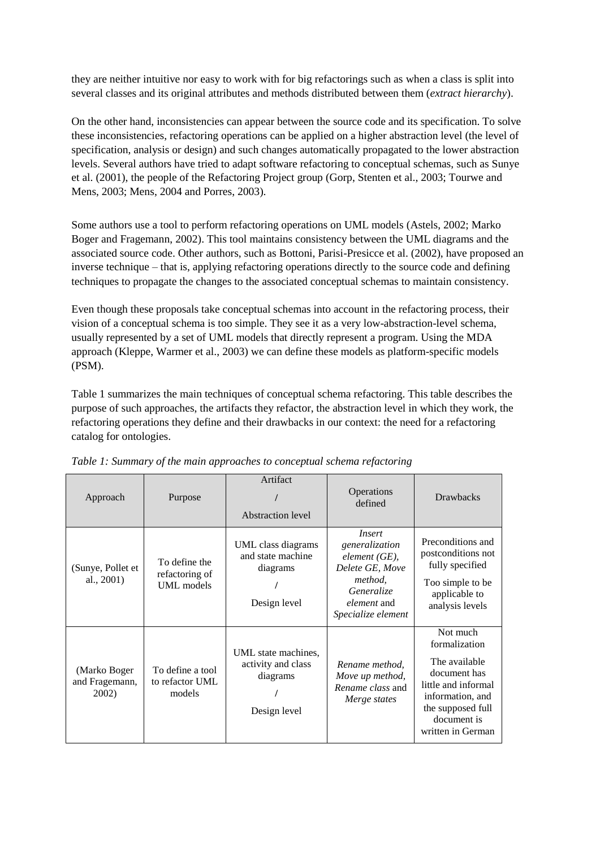they are neither intuitive nor easy to work with for big refactorings such as when a class is split into several classes and its original attributes and methods distributed between them (*extract hierarchy*).

On the other hand, inconsistencies can appear between the source code and its specification. To solve these inconsistencies, refactoring operations can be applied on a higher abstraction level (the level of specification, analysis or design) and such changes automatically propagated to the lower abstraction levels. Several authors have tried to adapt software refactoring to conceptual schemas, such as Sunye et al. (2001), the people of the Refactoring Project group (Gorp, Stenten et al., 2003; Tourwe and Mens, 2003; Mens, 2004 and Porres, 2003).

Some authors use a tool to perform refactoring operations on UML models (Astels, 2002; Marko Boger and Fragemann, 2002). This tool maintains consistency between the UML diagrams and the associated source code. Other authors, such as Bottoni, Parisi-Presicce et al. (2002), have proposed an inverse technique – that is, applying refactoring operations directly to the source code and defining techniques to propagate the changes to the associated conceptual schemas to maintain consistency.

Even though these proposals take conceptual schemas into account in the refactoring process, their vision of a conceptual schema is too simple. They see it as a very low-abstraction-level schema, usually represented by a set of UML models that directly represent a program. Using the MDA approach (Kleppe, Warmer et al., 2003) we can define these models as platform-specific models (PSM).

Table 1 summarizes the main techniques of conceptual schema refactoring. This table describes the purpose of such approaches, the artifacts they refactor, the abstraction level in which they work, the refactoring operations they define and their drawbacks in our context: the need for a refactoring catalog for ontologies.

| Approach                                | Purpose                                       | Artifact<br>Abstraction level                                         | Operations<br>defined                                                                                                                      | <b>Drawbacks</b>                                                                                                                                               |
|-----------------------------------------|-----------------------------------------------|-----------------------------------------------------------------------|--------------------------------------------------------------------------------------------------------------------------------------------|----------------------------------------------------------------------------------------------------------------------------------------------------------------|
| (Sunye, Pollet et<br>al., 2001)         | To define the<br>refactoring of<br>UML models | UML class diagrams<br>and state machine<br>diagrams<br>Design level   | <i>Insert</i><br>generalization<br>$element(GE)$ ,<br>Delete GE, Move<br>method,<br>Generalize<br><i>element</i> and<br>Specialize element | Preconditions and<br>postconditions not<br>fully specified<br>Too simple to be<br>applicable to<br>analysis levels                                             |
| (Marko Boger<br>and Fragemann,<br>2002) | To define a tool<br>to refactor UML<br>models | UML state machines,<br>activity and class<br>diagrams<br>Design level | Rename method.<br>Move up method,<br>Rename class and<br>Merge states                                                                      | Not much<br>formalization<br>The available<br>document has<br>little and informal<br>information, and<br>the supposed full<br>document is<br>written in German |

*Table 1: Summary of the main approaches to conceptual schema refactoring*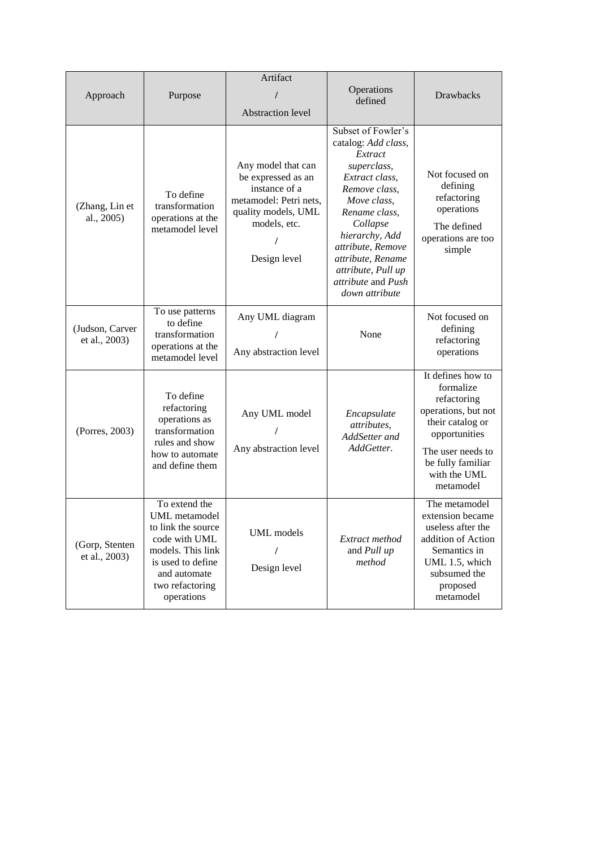| Approach                         | Purpose                                                                                                                                                                 | Artifact<br>Abstraction level                                                                                                                   | Operations<br>defined                                                                                                                                                                                                                                                        | Drawbacks                                                                                                                                                                        |
|----------------------------------|-------------------------------------------------------------------------------------------------------------------------------------------------------------------------|-------------------------------------------------------------------------------------------------------------------------------------------------|------------------------------------------------------------------------------------------------------------------------------------------------------------------------------------------------------------------------------------------------------------------------------|----------------------------------------------------------------------------------------------------------------------------------------------------------------------------------|
| (Zhang, Lin et<br>al., 2005)     | To define<br>transformation<br>operations at the<br>metamodel level                                                                                                     | Any model that can<br>be expressed as an<br>instance of a<br>metamodel: Petri nets,<br>quality models, UML<br>models, etc.<br>Ι<br>Design level | Subset of Fowler's<br>catalog: Add class,<br>Extract<br>superclass,<br>Extract class,<br>Remove class,<br>Move class,<br>Rename class,<br>Collapse<br>hierarchy, Add<br>attribute, Remove<br>attribute, Rename<br>attribute, Pull up<br>attribute and Push<br>down attribute | Not focused on<br>defining<br>refactoring<br>operations<br>The defined<br>operations are too<br>simple                                                                           |
| (Judson, Carver<br>et al., 2003) | To use patterns<br>to define<br>transformation<br>operations at the<br>metamodel level                                                                                  | Any UML diagram<br>Any abstraction level                                                                                                        | None                                                                                                                                                                                                                                                                         | Not focused on<br>defining<br>refactoring<br>operations                                                                                                                          |
| (Porres, 2003)                   | To define<br>refactoring<br>operations as<br>transformation<br>rules and show<br>how to automate<br>and define them                                                     | Any UML model<br>Any abstraction level                                                                                                          | Encapsulate<br>attributes,<br>AddSetter and<br>AddGetter.                                                                                                                                                                                                                    | It defines how to<br>formalize<br>refactoring<br>operations, but not<br>their catalog or<br>opportunities<br>The user needs to<br>be fully familiar<br>with the UML<br>metamodel |
| (Gorp, Stenten)<br>et al., 2003) | To extend the<br><b>UML</b> metamodel<br>to link the source<br>code with UML<br>models. This link<br>is used to define<br>and automate<br>two refactoring<br>operations | <b>UML</b> models<br>I<br>Design level                                                                                                          | Extract method<br>and Pull up<br>method                                                                                                                                                                                                                                      | The metamodel<br>extension became<br>useless after the<br>addition of Action<br>Semantics in<br>UML 1.5, which<br>subsumed the<br>proposed<br>metamodel                          |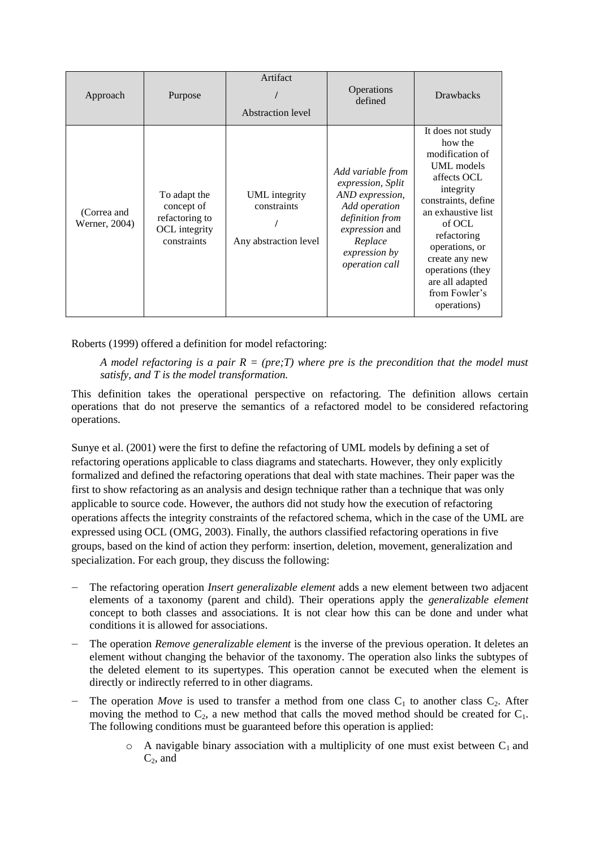| Approach                     | Purpose                                                                      | Artifact<br><b>Abstraction level</b>                  | Operations<br>defined                                                                                                                                                       | <b>Drawbacks</b>                                                                                                                                                                                                                                                           |
|------------------------------|------------------------------------------------------------------------------|-------------------------------------------------------|-----------------------------------------------------------------------------------------------------------------------------------------------------------------------------|----------------------------------------------------------------------------------------------------------------------------------------------------------------------------------------------------------------------------------------------------------------------------|
| (Correa and<br>Werner, 2004) | To adapt the<br>concept of<br>refactoring to<br>OCL integrity<br>constraints | UML integrity<br>constraints<br>Any abstraction level | Add variable from<br>expression, Split<br>AND expression,<br>Add operation<br>definition from<br>expression and<br>Replace<br><i>expression by</i><br><i>operation call</i> | It does not study<br>how the<br>modification of<br>UML models<br>affects OCL<br>integrity<br>constraints, define<br>an exhaustive list<br>of OCL<br>refactoring<br>operations, or<br>create any new<br>operations (they<br>are all adapted<br>from Fowler's<br>operations) |

Roberts (1999) offered a definition for model refactoring:

*A model refactoring is a pair*  $R = (pre, T)$  *where pre is the precondition that the model must satisfy, and T is the model transformation.*

This definition takes the operational perspective on refactoring. The definition allows certain operations that do not preserve the semantics of a refactored model to be considered refactoring operations.

Sunye et al. (2001) were the first to define the refactoring of UML models by defining a set of refactoring operations applicable to class diagrams and statecharts. However, they only explicitly formalized and defined the refactoring operations that deal with state machines. Their paper was the first to show refactoring as an analysis and design technique rather than a technique that was only applicable to source code. However, the authors did not study how the execution of refactoring operations affects the integrity constraints of the refactored schema, which in the case of the UML are expressed using OCL (OMG, 2003). Finally, the authors classified refactoring operations in five groups, based on the kind of action they perform: insertion, deletion, movement, generalization and specialization. For each group, they discuss the following:

- ― The refactoring operation *Insert generalizable element* adds a new element between two adjacent elements of a taxonomy (parent and child). Their operations apply the *generalizable element* concept to both classes and associations. It is not clear how this can be done and under what conditions it is allowed for associations.
- The operation *Remove generalizable element* is the inverse of the previous operation. It deletes an element without changing the behavior of the taxonomy. The operation also links the subtypes of the deleted element to its supertypes. This operation cannot be executed when the element is directly or indirectly referred to in other diagrams.
- The operation *Move* is used to transfer a method from one class  $C_1$  to another class  $C_2$ . After moving the method to  $C_2$ , a new method that calls the moved method should be created for  $C_1$ . The following conditions must be guaranteed before this operation is applied:
	- $\circ$  A navigable binary association with a multiplicity of one must exist between  $C_1$  and  $C_2$ , and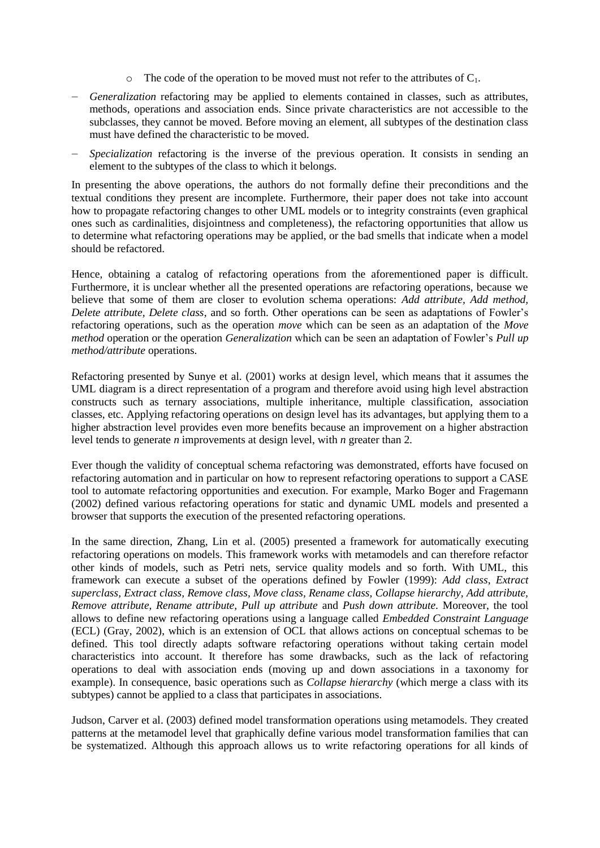- $\circ$  The code of the operation to be moved must not refer to the attributes of  $C_1$ .
- ― *Generalization* refactoring may be applied to elements contained in classes, such as attributes, methods, operations and association ends. Since private characteristics are not accessible to the subclasses, they cannot be moved. Before moving an element, all subtypes of the destination class must have defined the characteristic to be moved.
- Specialization refactoring is the inverse of the previous operation. It consists in sending an element to the subtypes of the class to which it belongs.

In presenting the above operations, the authors do not formally define their preconditions and the textual conditions they present are incomplete. Furthermore, their paper does not take into account how to propagate refactoring changes to other UML models or to integrity constraints (even graphical ones such as cardinalities, disjointness and completeness), the refactoring opportunities that allow us to determine what refactoring operations may be applied, or the bad smells that indicate when a model should be refactored.

Hence, obtaining a catalog of refactoring operations from the aforementioned paper is difficult. Furthermore, it is unclear whether all the presented operations are refactoring operations, because we believe that some of them are closer to evolution schema operations: *Add attribute, Add method, Delete attribute, Delete class*, and so forth. Other operations can be seen as adaptations of Fowler's refactoring operations, such as the operation *move* which can be seen as an adaptation of the *Move method* operation or the operation *Generalization* which can be seen an adaptation of Fowler's *Pull up method/attribute* operations.

Refactoring presented by Sunye et al. (2001) works at design level, which means that it assumes the UML diagram is a direct representation of a program and therefore avoid using high level abstraction constructs such as ternary associations, multiple inheritance, multiple classification, association classes, etc. Applying refactoring operations on design level has its advantages, but applying them to a higher abstraction level provides even more benefits because an improvement on a higher abstraction level tends to generate *n* improvements at design level, with *n* greater than 2.

Ever though the validity of conceptual schema refactoring was demonstrated, efforts have focused on refactoring automation and in particular on how to represent refactoring operations to support a CASE tool to automate refactoring opportunities and execution. For example, Marko Boger and Fragemann (2002) defined various refactoring operations for static and dynamic UML models and presented a browser that supports the execution of the presented refactoring operations.

In the same direction, Zhang, Lin et al. (2005) presented a framework for automatically executing refactoring operations on models. This framework works with metamodels and can therefore refactor other kinds of models, such as Petri nets, service quality models and so forth. With UML, this framework can execute a subset of the operations defined by Fowler (1999): *Add class*, *Extract superclass, Extract class, Remove class, Move class, Rename class, Collapse hierarchy, Add attribute, Remove attribute, Rename attribute, Pull up attribute* and *Push down attribute*. Moreover, the tool allows to define new refactoring operations using a language called *Embedded Constraint Language* (ECL) (Gray, 2002), which is an extension of OCL that allows actions on conceptual schemas to be defined. This tool directly adapts software refactoring operations without taking certain model characteristics into account. It therefore has some drawbacks, such as the lack of refactoring operations to deal with association ends (moving up and down associations in a taxonomy for example). In consequence, basic operations such as *Collapse hierarchy* (which merge a class with its subtypes) cannot be applied to a class that participates in associations.

Judson, Carver et al. (2003) defined model transformation operations using metamodels. They created patterns at the metamodel level that graphically define various model transformation families that can be systematized. Although this approach allows us to write refactoring operations for all kinds of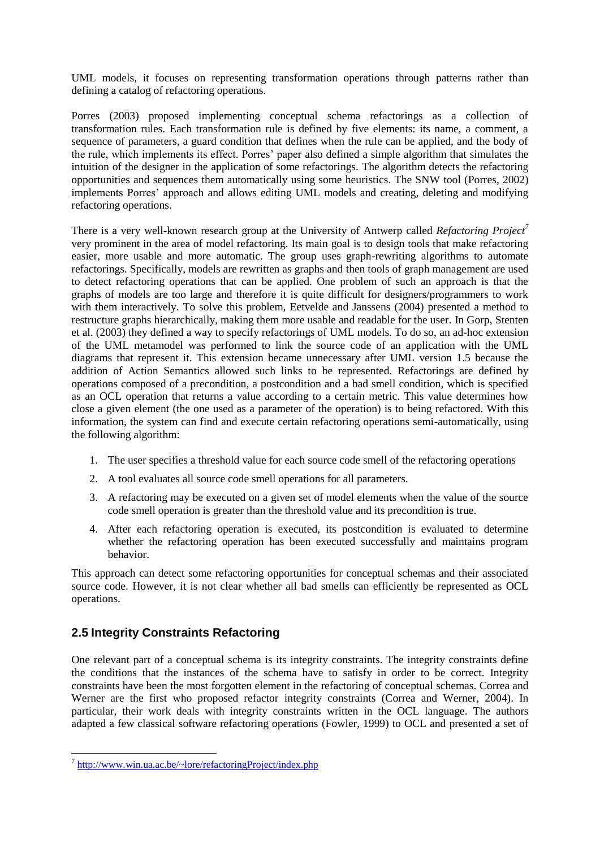UML models, it focuses on representing transformation operations through patterns rather than defining a catalog of refactoring operations.

Porres (2003) proposed implementing conceptual schema refactorings as a collection of transformation rules. Each transformation rule is defined by five elements: its name, a comment, a sequence of parameters, a guard condition that defines when the rule can be applied, and the body of the rule, which implements its effect. Porres' paper also defined a simple algorithm that simulates the intuition of the designer in the application of some refactorings. The algorithm detects the refactoring opportunities and sequences them automatically using some heuristics. The SNW tool (Porres, 2002) implements Porres' approach and allows editing UML models and creating, deleting and modifying refactoring operations.

There is a very well-known research group at the University of Antwerp called *Refactoring Project<sup>7</sup>* very prominent in the area of model refactoring. Its main goal is to design tools that make refactoring easier, more usable and more automatic. The group uses graph-rewriting algorithms to automate refactorings. Specifically, models are rewritten as graphs and then tools of graph management are used to detect refactoring operations that can be applied. One problem of such an approach is that the graphs of models are too large and therefore it is quite difficult for designers/programmers to work with them interactively. To solve this problem, Eetvelde and Janssens (2004) presented a method to restructure graphs hierarchically, making them more usable and readable for the user. In Gorp, Stenten et al. (2003) they defined a way to specify refactorings of UML models. To do so, an ad-hoc extension of the UML metamodel was performed to link the source code of an application with the UML diagrams that represent it. This extension became unnecessary after UML version 1.5 because the addition of Action Semantics allowed such links to be represented. Refactorings are defined by operations composed of a precondition, a postcondition and a bad smell condition, which is specified as an OCL operation that returns a value according to a certain metric. This value determines how close a given element (the one used as a parameter of the operation) is to being refactored. With this information, the system can find and execute certain refactoring operations semi-automatically, using the following algorithm:

- 1. The user specifies a threshold value for each source code smell of the refactoring operations
- 2. A tool evaluates all source code smell operations for all parameters.
- 3. A refactoring may be executed on a given set of model elements when the value of the source code smell operation is greater than the threshold value and its precondition is true.
- 4. After each refactoring operation is executed, its postcondition is evaluated to determine whether the refactoring operation has been executed successfully and maintains program behavior.

This approach can detect some refactoring opportunities for conceptual schemas and their associated source code. However, it is not clear whether all bad smells can efficiently be represented as OCL operations.

# **2.5 Integrity Constraints Refactoring**

One relevant part of a conceptual schema is its integrity constraints. The integrity constraints define the conditions that the instances of the schema have to satisfy in order to be correct. Integrity constraints have been the most forgotten element in the refactoring of conceptual schemas. Correa and Werner are the first who proposed refactor integrity constraints (Correa and Werner, 2004). In particular, their work deals with integrity constraints written in the OCL language. The authors adapted a few classical software refactoring operations (Fowler, 1999) to OCL and presented a set of

 $\overline{a}$ 

<sup>&</sup>lt;sup>7</sup> <http://www.win.ua.ac.be/~lore/refactoringProject/index.php>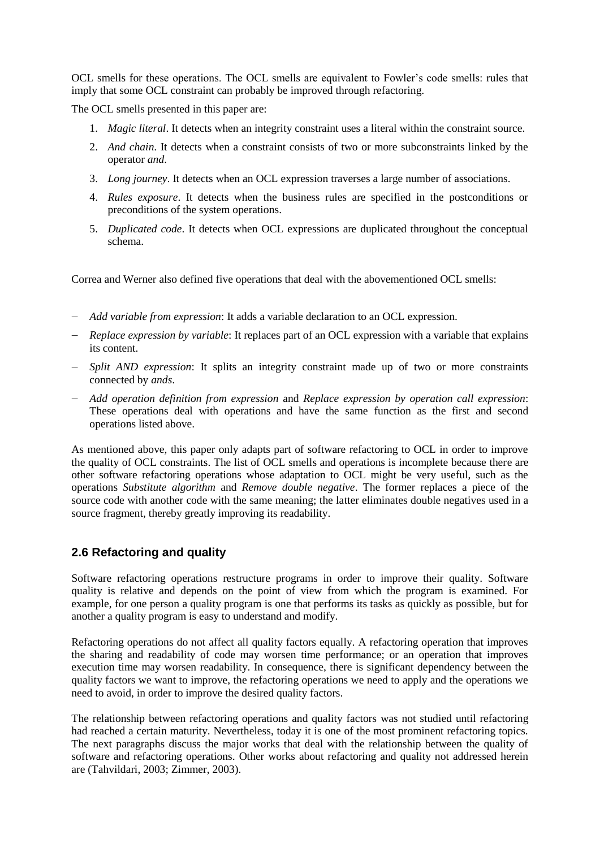OCL smells for these operations. The OCL smells are equivalent to Fowler's code smells: rules that imply that some OCL constraint can probably be improved through refactoring.

The OCL smells presented in this paper are:

- 1. *Magic literal*. It detects when an integrity constraint uses a literal within the constraint source.
- 2. *And chain*. It detects when a constraint consists of two or more subconstraints linked by the operator *and*.
- 3. *Long journey*. It detects when an OCL expression traverses a large number of associations.
- 4. *Rules exposure*. It detects when the business rules are specified in the postconditions or preconditions of the system operations.
- 5. *Duplicated code*. It detects when OCL expressions are duplicated throughout the conceptual schema.

Correa and Werner also defined five operations that deal with the abovementioned OCL smells:

- ― *Add variable from expression*: It adds a variable declaration to an OCL expression.
- ― *Replace expression by variable*: It replaces part of an OCL expression with a variable that explains its content.
- ― *Split AND expression*: It splits an integrity constraint made up of two or more constraints connected by *ands*.
- ― *Add operation definition from expression* and *Replace expression by operation call expression*: These operations deal with operations and have the same function as the first and second operations listed above.

As mentioned above, this paper only adapts part of software refactoring to OCL in order to improve the quality of OCL constraints. The list of OCL smells and operations is incomplete because there are other software refactoring operations whose adaptation to OCL might be very useful, such as the operations *Substitute algorithm* and *Remove double negative*. The former replaces a piece of the source code with another code with the same meaning; the latter eliminates double negatives used in a source fragment, thereby greatly improving its readability.

# **2.6 Refactoring and quality**

Software refactoring operations restructure programs in order to improve their quality. Software quality is relative and depends on the point of view from which the program is examined. For example, for one person a quality program is one that performs its tasks as quickly as possible, but for another a quality program is easy to understand and modify.

Refactoring operations do not affect all quality factors equally. A refactoring operation that improves the sharing and readability of code may worsen time performance; or an operation that improves execution time may worsen readability. In consequence, there is significant dependency between the quality factors we want to improve, the refactoring operations we need to apply and the operations we need to avoid, in order to improve the desired quality factors.

The relationship between refactoring operations and quality factors was not studied until refactoring had reached a certain maturity. Nevertheless, today it is one of the most prominent refactoring topics. The next paragraphs discuss the major works that deal with the relationship between the quality of software and refactoring operations. Other works about refactoring and quality not addressed herein are (Tahvildari, 2003; Zimmer, 2003).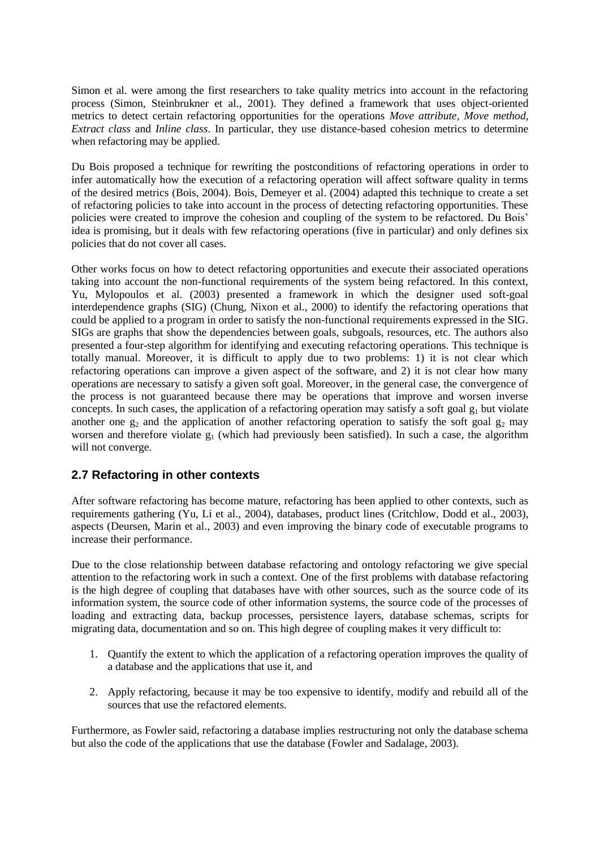Simon et al. were among the first researchers to take quality metrics into account in the refactoring process (Simon, Steinbrukner et al., 2001). They defined a framework that uses object-oriented metrics to detect certain refactoring opportunities for the operations *Move attribute*, *Move method*, *Extract class* and *Inline class*. In particular, they use distance-based cohesion metrics to determine when refactoring may be applied.

Du Bois proposed a technique for rewriting the postconditions of refactoring operations in order to infer automatically how the execution of a refactoring operation will affect software quality in terms of the desired metrics (Bois, 2004). Bois, Demeyer et al. (2004) adapted this technique to create a set of refactoring policies to take into account in the process of detecting refactoring opportunities. These policies were created to improve the cohesion and coupling of the system to be refactored. Du Bois' idea is promising, but it deals with few refactoring operations (five in particular) and only defines six policies that do not cover all cases.

Other works focus on how to detect refactoring opportunities and execute their associated operations taking into account the non-functional requirements of the system being refactored. In this context, Yu, Mylopoulos et al. (2003) presented a framework in which the designer used soft-goal interdependence graphs (SIG) (Chung, Nixon et al., 2000) to identify the refactoring operations that could be applied to a program in order to satisfy the non-functional requirements expressed in the SIG. SIGs are graphs that show the dependencies between goals, subgoals, resources, etc. The authors also presented a four-step algorithm for identifying and executing refactoring operations. This technique is totally manual. Moreover, it is difficult to apply due to two problems: 1) it is not clear which refactoring operations can improve a given aspect of the software, and 2) it is not clear how many operations are necessary to satisfy a given soft goal. Moreover, in the general case, the convergence of the process is not guaranteed because there may be operations that improve and worsen inverse concepts. In such cases, the application of a refactoring operation may satisfy a soft goal  $g_1$  but violate another one  $g_2$  and the application of another refactoring operation to satisfy the soft goal  $g_2$  may worsen and therefore violate  $g_1$  (which had previously been satisfied). In such a case, the algorithm will not converge.

# **2.7 Refactoring in other contexts**

After software refactoring has become mature, refactoring has been applied to other contexts, such as requirements gathering (Yu, Li et al., 2004), databases, product lines (Critchlow, Dodd et al., 2003), aspects (Deursen, Marin et al., 2003) and even improving the binary code of executable programs to increase their performance.

Due to the close relationship between database refactoring and ontology refactoring we give special attention to the refactoring work in such a context. One of the first problems with database refactoring is the high degree of coupling that databases have with other sources, such as the source code of its information system, the source code of other information systems, the source code of the processes of loading and extracting data, backup processes, persistence layers, database schemas, scripts for migrating data, documentation and so on. This high degree of coupling makes it very difficult to:

- 1. Quantify the extent to which the application of a refactoring operation improves the quality of a database and the applications that use it, and
- 2. Apply refactoring, because it may be too expensive to identify, modify and rebuild all of the sources that use the refactored elements.

Furthermore, as Fowler said, refactoring a database implies restructuring not only the database schema but also the code of the applications that use the database (Fowler and Sadalage, 2003).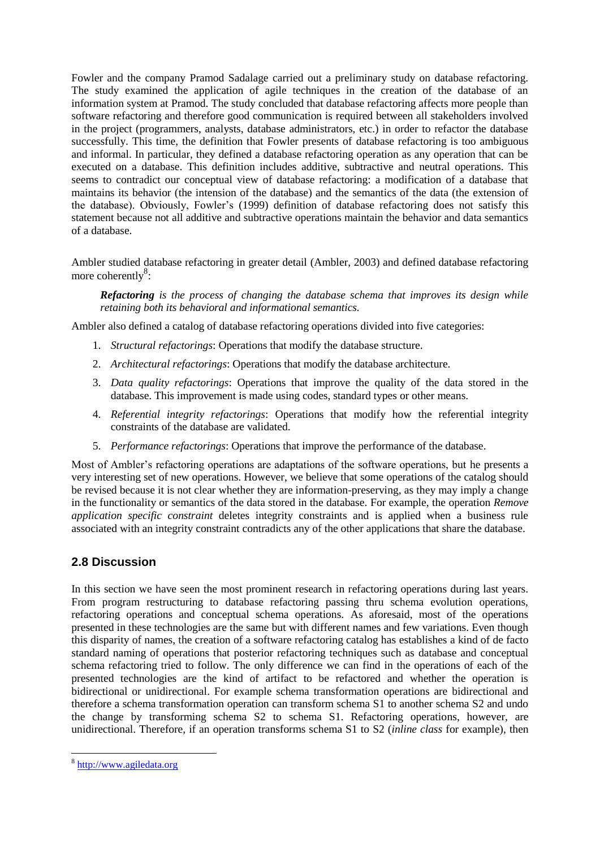Fowler and the company Pramod Sadalage carried out a preliminary study on database refactoring. The study examined the application of agile techniques in the creation of the database of an information system at Pramod. The study concluded that database refactoring affects more people than software refactoring and therefore good communication is required between all stakeholders involved in the project (programmers, analysts, database administrators, etc.) in order to refactor the database successfully. This time, the definition that Fowler presents of database refactoring is too ambiguous and informal. In particular, they defined a database refactoring operation as any operation that can be executed on a database. This definition includes additive, subtractive and neutral operations. This seems to contradict our conceptual view of database refactoring: a modification of a database that maintains its behavior (the intension of the database) and the semantics of the data (the extension of the database). Obviously, Fowler's (1999) definition of database refactoring does not satisfy this statement because not all additive and subtractive operations maintain the behavior and data semantics of a database.

Ambler studied database refactoring in greater detail (Ambler, 2003) and defined database refactoring more coherently<sup>8</sup>:

*Refactoring is the process of changing the database schema that improves its design while retaining both its behavioral and informational semantics.*

Ambler also defined a catalog of database refactoring operations divided into five categories:

- 1. *Structural refactorings*: Operations that modify the database structure.
- 2. *Architectural refactorings*: Operations that modify the database architecture.
- 3. *Data quality refactorings*: Operations that improve the quality of the data stored in the database. This improvement is made using codes, standard types or other means.
- 4. *Referential integrity refactorings*: Operations that modify how the referential integrity constraints of the database are validated.
- 5. *Performance refactorings*: Operations that improve the performance of the database.

Most of Ambler's refactoring operations are adaptations of the software operations, but he presents a very interesting set of new operations. However, we believe that some operations of the catalog should be revised because it is not clear whether they are information-preserving, as they may imply a change in the functionality or semantics of the data stored in the database. For example, the operation *Remove application specific constraint* deletes integrity constraints and is applied when a business rule associated with an integrity constraint contradicts any of the other applications that share the database.

# **2.8 Discussion**

In this section we have seen the most prominent research in refactoring operations during last years. From program restructuring to database refactoring passing thru schema evolution operations, refactoring operations and conceptual schema operations. As aforesaid, most of the operations presented in these technologies are the same but with different names and few variations. Even though this disparity of names, the creation of a software refactoring catalog has establishes a kind of de facto standard naming of operations that posterior refactoring techniques such as database and conceptual schema refactoring tried to follow. The only difference we can find in the operations of each of the presented technologies are the kind of artifact to be refactored and whether the operation is bidirectional or unidirectional. For example schema transformation operations are bidirectional and therefore a schema transformation operation can transform schema S1 to another schema S2 and undo the change by transforming schema S2 to schema S1. Refactoring operations, however, are unidirectional. Therefore, if an operation transforms schema S1 to S2 (*inline class* for example), then

 $\overline{a}$ 

<sup>&</sup>lt;sup>8</sup> [http://www.agiledata.org](http://www.agiledata.org/)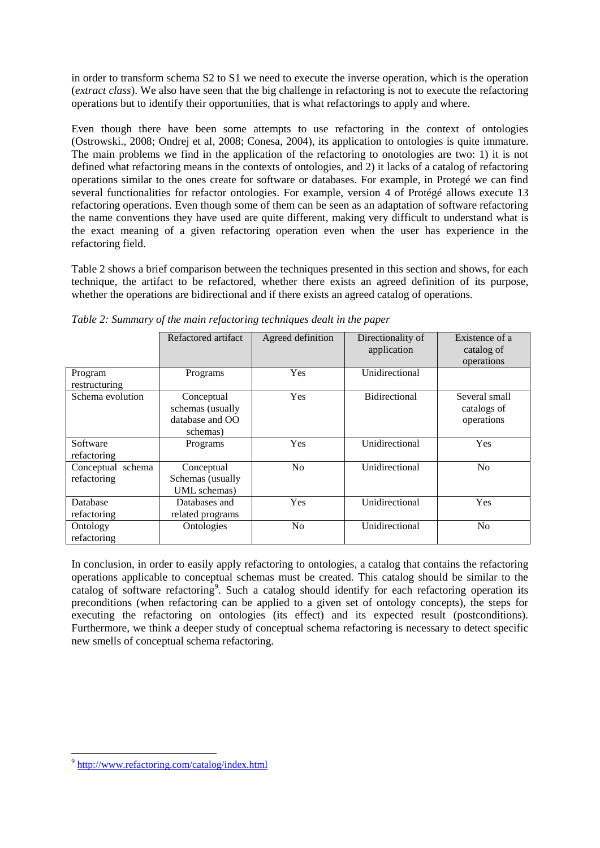in order to transform schema S2 to S1 we need to execute the inverse operation, which is the operation (*extract class*). We also have seen that the big challenge in refactoring is not to execute the refactoring operations but to identify their opportunities, that is what refactorings to apply and where.

Even though there have been some attempts to use refactoring in the context of ontologies (Ostrowski., 2008; Ondrej et al, 2008; Conesa, 2004), its application to ontologies is quite immature. The main problems we find in the application of the refactoring to onotologies are two: 1) it is not defined what refactoring means in the contexts of ontologies, and 2) it lacks of a catalog of refactoring operations similar to the ones create for software or databases. For example, in Protegé we can find several functionalities for refactor ontologies. For example, version 4 of Protégé allows execute 13 refactoring operations. Even though some of them can be seen as an adaptation of software refactoring the name conventions they have used are quite different, making very difficult to understand what is the exact meaning of a given refactoring operation even when the user has experience in the refactoring field.

Table 2 shows a brief comparison between the techniques presented in this section and shows, for each technique, the artifact to be refactored, whether there exists an agreed definition of its purpose, whether the operations are bidirectional and if there exists an agreed catalog of operations.

|                   | Refactored artifact | Agreed definition | Directionality of    | Existence of a |
|-------------------|---------------------|-------------------|----------------------|----------------|
|                   |                     |                   | application          | catalog of     |
|                   |                     |                   |                      | operations     |
| Program           | Programs            | Yes               | Unidirectional       |                |
| restructuring     |                     |                   |                      |                |
| Schema evolution  | Conceptual          | Yes               | <b>Bidirectional</b> | Several small  |
|                   | schemas (usually    |                   |                      | catalogs of    |
|                   | database and OO     |                   |                      | operations     |
|                   | schemas)            |                   |                      |                |
| Software          | Programs            | Yes               | Unidirectional       | Yes            |
| refactoring       |                     |                   |                      |                |
| Conceptual schema | Conceptual          | N <sub>0</sub>    | Unidirectional       | No             |
| refactoring       | Schemas (usually    |                   |                      |                |
|                   | UML schemas)        |                   |                      |                |
| Database          | Databases and       | Yes               | Unidirectional       | <b>Yes</b>     |
| refactoring       | related programs    |                   |                      |                |
| Ontology          | Ontologies          | N <sub>o</sub>    | Unidirectional       | N <sub>o</sub> |
| refactoring       |                     |                   |                      |                |

*Table 2: Summary of the main refactoring techniques dealt in the paper*

In conclusion, in order to easily apply refactoring to ontologies, a catalog that contains the refactoring operations applicable to conceptual schemas must be created. This catalog should be similar to the catalog of software refactoring<sup>9</sup>. Such a catalog should identify for each refactoring operation its preconditions (when refactoring can be applied to a given set of ontology concepts), the steps for executing the refactoring on ontologies (its effect) and its expected result (postconditions). Furthermore, we think a deeper study of conceptual schema refactoring is necessary to detect specific new smells of conceptual schema refactoring.

 $\overline{a}$ <sup>9</sup> <http://www.refactoring.com/catalog/index.html>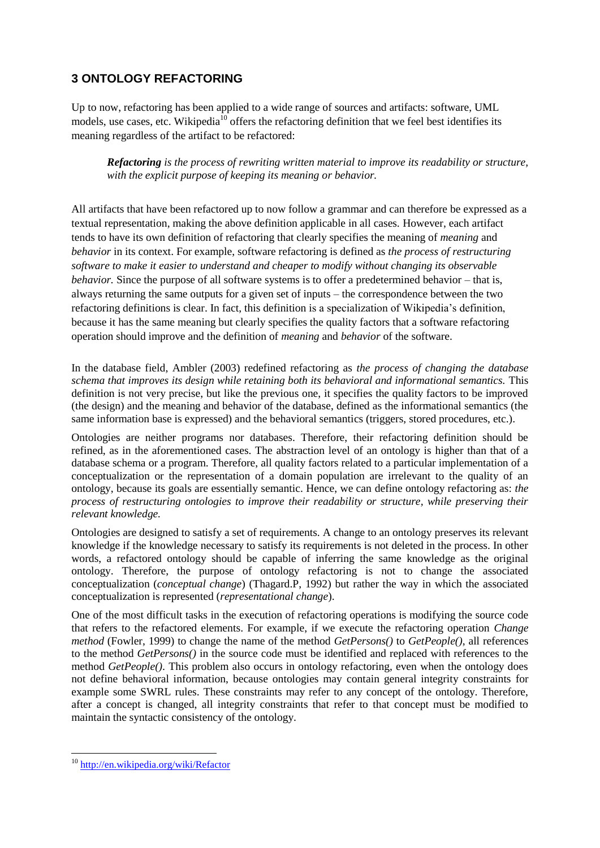# **3 ONTOLOGY REFACTORING**

Up to now, refactoring has been applied to a wide range of sources and artifacts: software, UML models, use cases, etc. Wikipedia<sup>10</sup> offers the refactoring definition that we feel best identifies its meaning regardless of the artifact to be refactored:

*Refactoring is the process of rewriting written material to improve its readability or structure, with the explicit purpose of keeping its meaning or behavior.*

All artifacts that have been refactored up to now follow a grammar and can therefore be expressed as a textual representation, making the above definition applicable in all cases. However, each artifact tends to have its own definition of refactoring that clearly specifies the meaning of *meaning* and *behavior* in its context. For example, software refactoring is defined as *the process of restructuring software to make it easier to understand and cheaper to modify without changing its observable behavior.* Since the purpose of all software systems is to offer a predetermined behavior – that is, always returning the same outputs for a given set of inputs – the correspondence between the two refactoring definitions is clear. In fact, this definition is a specialization of Wikipedia's definition, because it has the same meaning but clearly specifies the quality factors that a software refactoring operation should improve and the definition of *meaning* and *behavior* of the software.

In the database field, Ambler (2003) redefined refactoring as *the process of changing the database schema that improves its design while retaining both its behavioral and informational semantics.* This definition is not very precise, but like the previous one, it specifies the quality factors to be improved (the design) and the meaning and behavior of the database, defined as the informational semantics (the same information base is expressed) and the behavioral semantics (triggers, stored procedures, etc.).

Ontologies are neither programs nor databases. Therefore, their refactoring definition should be refined, as in the aforementioned cases. The abstraction level of an ontology is higher than that of a database schema or a program. Therefore, all quality factors related to a particular implementation of a conceptualization or the representation of a domain population are irrelevant to the quality of an ontology, because its goals are essentially semantic. Hence, we can define ontology refactoring as: *the process of restructuring ontologies to improve their readability or structure, while preserving their relevant knowledge.*

Ontologies are designed to satisfy a set of requirements. A change to an ontology preserves its relevant knowledge if the knowledge necessary to satisfy its requirements is not deleted in the process. In other words, a refactored ontology should be capable of inferring the same knowledge as the original ontology. Therefore, the purpose of ontology refactoring is not to change the associated conceptualization (*conceptual change*) (Thagard.P, 1992) but rather the way in which the associated conceptualization is represented (*representational change*).

One of the most difficult tasks in the execution of refactoring operations is modifying the source code that refers to the refactored elements. For example, if we execute the refactoring operation *Change method* (Fowler, 1999) to change the name of the method *GetPersons()* to *GetPeople()*, all references to the method *GetPersons()* in the source code must be identified and replaced with references to the method *GetPeople()*. This problem also occurs in ontology refactoring, even when the ontology does not define behavioral information, because ontologies may contain general integrity constraints for example some SWRL rules. These constraints may refer to any concept of the ontology. Therefore, after a concept is changed, all integrity constraints that refer to that concept must be modified to maintain the syntactic consistency of the ontology.

 $\overline{a}$ <sup>10</sup> <http://en.wikipedia.org/wiki/Refactor>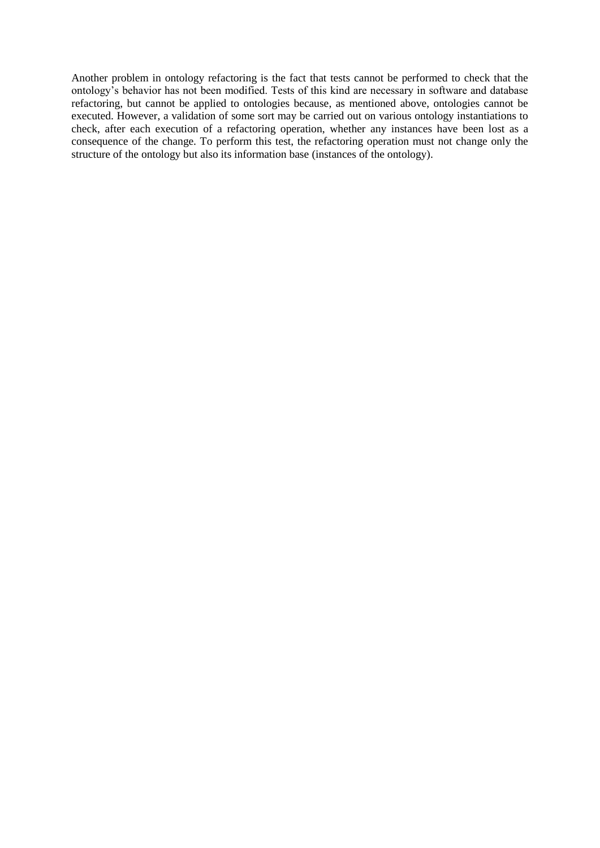Another problem in ontology refactoring is the fact that tests cannot be performed to check that the ontology's behavior has not been modified. Tests of this kind are necessary in software and database refactoring, but cannot be applied to ontologies because, as mentioned above, ontologies cannot be executed. However, a validation of some sort may be carried out on various ontology instantiations to check, after each execution of a refactoring operation, whether any instances have been lost as a consequence of the change. To perform this test, the refactoring operation must not change only the structure of the ontology but also its information base (instances of the ontology).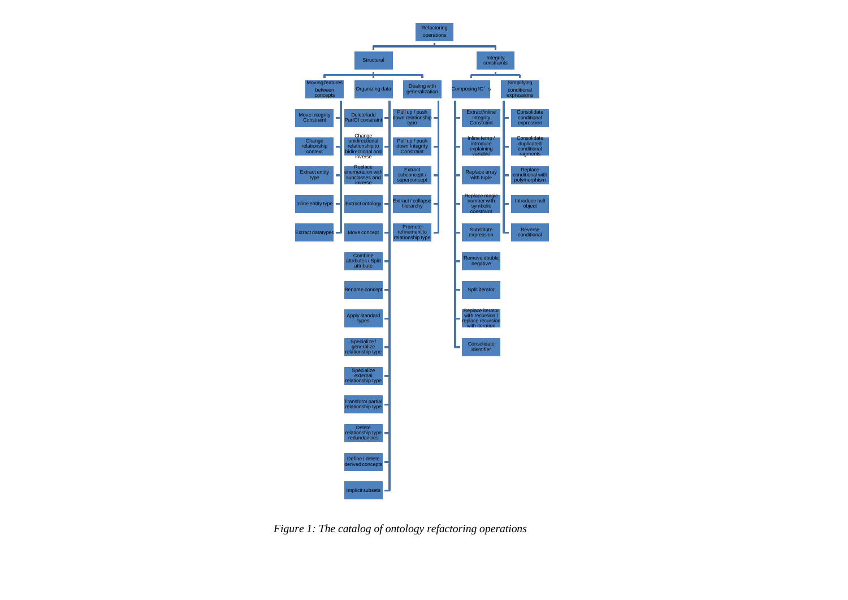

*Figure 1: The catalog of ontology refactoring operations*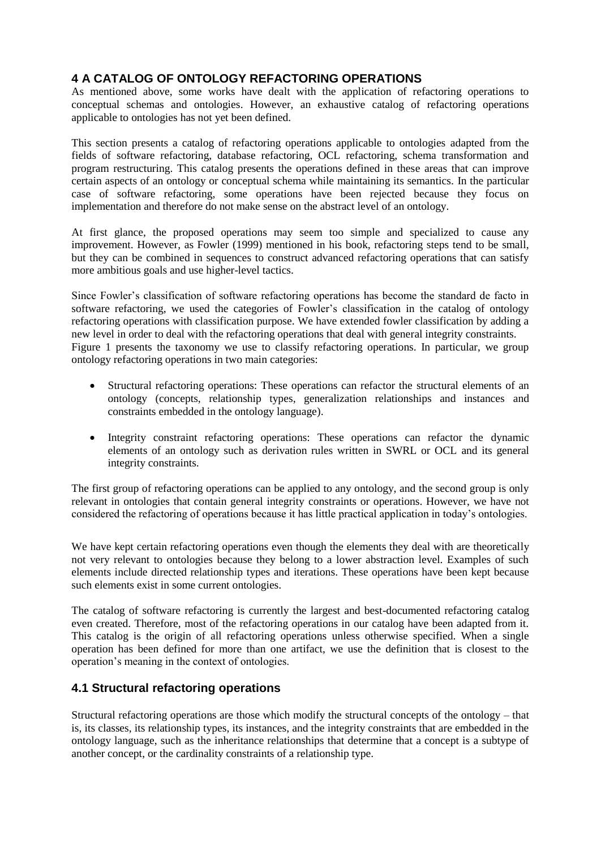# **4 A CATALOG OF ONTOLOGY REFACTORING OPERATIONS**

As mentioned above, some works have dealt with the application of refactoring operations to conceptual schemas and ontologies. However, an exhaustive catalog of refactoring operations applicable to ontologies has not yet been defined.

This section presents a catalog of refactoring operations applicable to ontologies adapted from the fields of software refactoring, database refactoring, OCL refactoring, schema transformation and program restructuring. This catalog presents the operations defined in these areas that can improve certain aspects of an ontology or conceptual schema while maintaining its semantics. In the particular case of software refactoring, some operations have been rejected because they focus on implementation and therefore do not make sense on the abstract level of an ontology.

At first glance, the proposed operations may seem too simple and specialized to cause any improvement. However, as Fowler (1999) mentioned in his book, refactoring steps tend to be small, but they can be combined in sequences to construct advanced refactoring operations that can satisfy more ambitious goals and use higher-level tactics.

Since Fowler's classification of software refactoring operations has become the standard de facto in software refactoring, we used the categories of Fowler's classification in the catalog of ontology refactoring operations with classification purpose. We have extended fowler classification by adding a new level in order to deal with the refactoring operations that deal with general integrity constraints. Figure 1 presents the taxonomy we use to classify refactoring operations. In particular, we group ontology refactoring operations in two main categories:

- Structural refactoring operations: These operations can refactor the structural elements of an ontology (concepts, relationship types, generalization relationships and instances and constraints embedded in the ontology language).
- Integrity constraint refactoring operations: These operations can refactor the dynamic elements of an ontology such as derivation rules written in SWRL or OCL and its general integrity constraints.

The first group of refactoring operations can be applied to any ontology, and the second group is only relevant in ontologies that contain general integrity constraints or operations. However, we have not considered the refactoring of operations because it has little practical application in today's ontologies.

We have kept certain refactoring operations even though the elements they deal with are theoretically not very relevant to ontologies because they belong to a lower abstraction level. Examples of such elements include directed relationship types and iterations. These operations have been kept because such elements exist in some current ontologies.

The catalog of software refactoring is currently the largest and best-documented refactoring catalog even created. Therefore, most of the refactoring operations in our catalog have been adapted from it. This catalog is the origin of all refactoring operations unless otherwise specified. When a single operation has been defined for more than one artifact, we use the definition that is closest to the operation's meaning in the context of ontologies.

# **4.1 Structural refactoring operations**

Structural refactoring operations are those which modify the structural concepts of the ontology – that is, its classes, its relationship types, its instances, and the integrity constraints that are embedded in the ontology language, such as the inheritance relationships that determine that a concept is a subtype of another concept, or the cardinality constraints of a relationship type.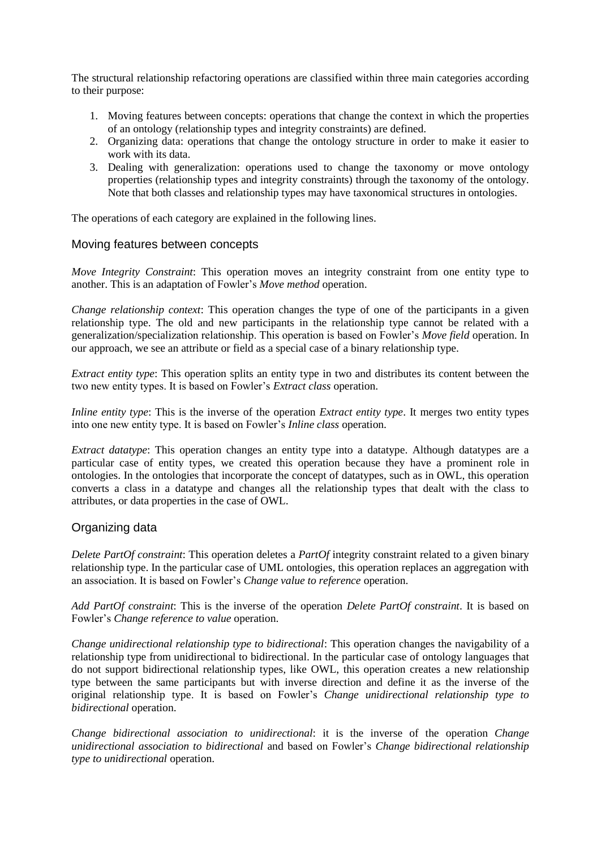The structural relationship refactoring operations are classified within three main categories according to their purpose:

- 1. Moving features between concepts: operations that change the context in which the properties of an ontology (relationship types and integrity constraints) are defined.
- 2. Organizing data: operations that change the ontology structure in order to make it easier to work with its data.
- 3. Dealing with generalization: operations used to change the taxonomy or move ontology properties (relationship types and integrity constraints) through the taxonomy of the ontology. Note that both classes and relationship types may have taxonomical structures in ontologies.

The operations of each category are explained in the following lines.

#### Moving features between concepts

*Move Integrity Constraint*: This operation moves an integrity constraint from one entity type to another. This is an adaptation of Fowler's *Move method* operation.

*Change relationship context*: This operation changes the type of one of the participants in a given relationship type. The old and new participants in the relationship type cannot be related with a generalization/specialization relationship. This operation is based on Fowler's *Move field* operation. In our approach, we see an attribute or field as a special case of a binary relationship type.

*Extract entity type*: This operation splits an entity type in two and distributes its content between the two new entity types. It is based on Fowler's *Extract class* operation.

*Inline entity type*: This is the inverse of the operation *Extract entity type*. It merges two entity types into one new entity type. It is based on Fowler's *Inline class* operation.

*Extract datatype*: This operation changes an entity type into a datatype. Although datatypes are a particular case of entity types, we created this operation because they have a prominent role in ontologies. In the ontologies that incorporate the concept of datatypes, such as in OWL, this operation converts a class in a datatype and changes all the relationship types that dealt with the class to attributes, or data properties in the case of OWL.

#### Organizing data

*Delete PartOf constraint*: This operation deletes a *PartOf* integrity constraint related to a given binary relationship type. In the particular case of UML ontologies, this operation replaces an aggregation with an association. It is based on Fowler's *Change value to reference* operation.

*Add PartOf constraint*: This is the inverse of the operation *Delete PartOf constraint*. It is based on Fowler's *Change reference to value* operation.

*Change unidirectional relationship type to bidirectional*: This operation changes the navigability of a relationship type from unidirectional to bidirectional. In the particular case of ontology languages that do not support bidirectional relationship types, like OWL, this operation creates a new relationship type between the same participants but with inverse direction and define it as the inverse of the original relationship type. It is based on Fowler's *Change unidirectional relationship type to bidirectional* operation.

*Change bidirectional association to unidirectional*: it is the inverse of the operation *Change unidirectional association to bidirectional* and based on Fowler's *Change bidirectional relationship type to unidirectional* operation.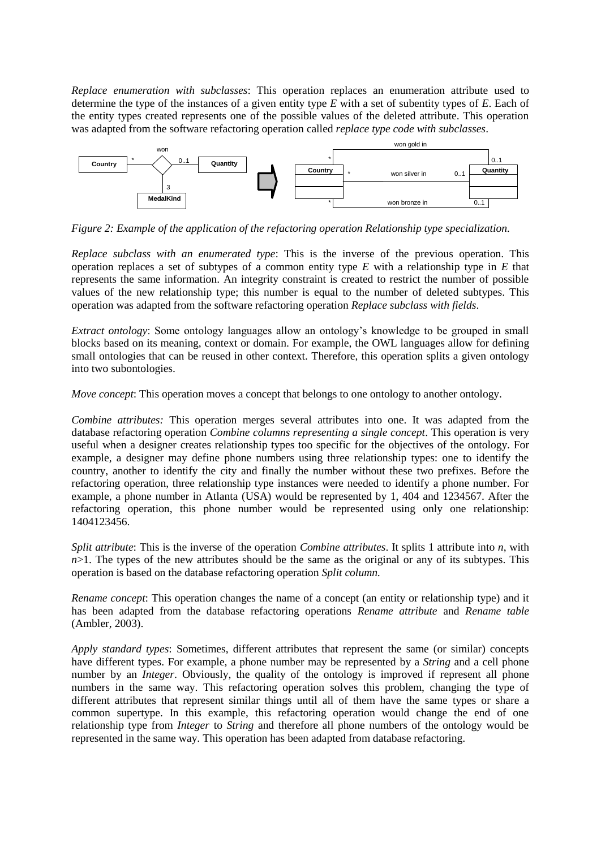*Replace enumeration with subclasses*: This operation replaces an enumeration attribute used to determine the type of the instances of a given entity type *E* with a set of subentity types of *E*. Each of the entity types created represents one of the possible values of the deleted attribute. This operation was adapted from the software refactoring operation called *replace type code with subclasses*.



*Figure 2: Example of the application of the refactoring operation Relationship type specialization.* 

*Replace subclass with an enumerated type*: This is the inverse of the previous operation. This operation replaces a set of subtypes of a common entity type *E* with a relationship type in *E* that represents the same information. An integrity constraint is created to restrict the number of possible values of the new relationship type; this number is equal to the number of deleted subtypes. This operation was adapted from the software refactoring operation *Replace subclass with fields*.

*Extract ontology*: Some ontology languages allow an ontology's knowledge to be grouped in small blocks based on its meaning, context or domain. For example, the OWL languages allow for defining small ontologies that can be reused in other context. Therefore, this operation splits a given ontology into two subontologies.

*Move concept*: This operation moves a concept that belongs to one ontology to another ontology.

*Combine attributes:* This operation merges several attributes into one. It was adapted from the database refactoring operation *Combine columns representing a single concept*. This operation is very useful when a designer creates relationship types too specific for the objectives of the ontology. For example, a designer may define phone numbers using three relationship types: one to identify the country, another to identify the city and finally the number without these two prefixes. Before the refactoring operation, three relationship type instances were needed to identify a phone number. For example, a phone number in Atlanta (USA) would be represented by 1, 404 and 1234567. After the refactoring operation, this phone number would be represented using only one relationship: 1404123456.

*Split attribute*: This is the inverse of the operation *Combine attributes*. It splits 1 attribute into *n*, with  $n>1$ . The types of the new attributes should be the same as the original or any of its subtypes. This operation is based on the database refactoring operation *Split column.*

*Rename concept*: This operation changes the name of a concept (an entity or relationship type) and it has been adapted from the database refactoring operations *Rename attribute* and *Rename table*  (Ambler, 2003).

*Apply standard types*: Sometimes, different attributes that represent the same (or similar) concepts have different types. For example, a phone number may be represented by a *String* and a cell phone number by an *Integer*. Obviously, the quality of the ontology is improved if represent all phone numbers in the same way. This refactoring operation solves this problem, changing the type of different attributes that represent similar things until all of them have the same types or share a common supertype. In this example, this refactoring operation would change the end of one relationship type from *Integer* to *String* and therefore all phone numbers of the ontology would be represented in the same way. This operation has been adapted from database refactoring.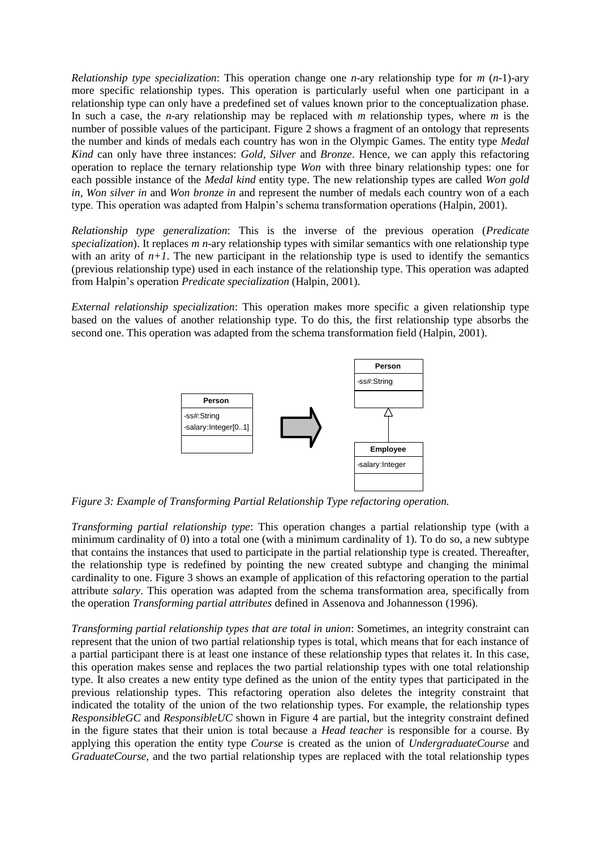*Relationship type specialization*: This operation change one *n*-ary relationship type for *m* (*n*-1)-ary more specific relationship types. This operation is particularly useful when one participant in a relationship type can only have a predefined set of values known prior to the conceptualization phase. In such a case, the *n*-ary relationship may be replaced with *m* relationship types, where *m* is the number of possible values of the participant. Figure 2 shows a fragment of an ontology that represents the number and kinds of medals each country has won in the Olympic Games. The entity type *Medal Kind* can only have three instances: *Gold, Silver* and *Bronze*. Hence, we can apply this refactoring operation to replace the ternary relationship type *Won* with three binary relationship types: one for each possible instance of the *Medal kind* entity type. The new relationship types are called *Won gold in, Won silver in* and *Won bronze in* and represent the number of medals each country won of a each type. This operation was adapted from Halpin's schema transformation operations (Halpin, 2001).

*Relationship type generalization*: This is the inverse of the previous operation (*Predicate specialization*). It replaces *m n*-ary relationship types with similar semantics with one relationship type with an arity of  $n+1$ . The new participant in the relationship type is used to identify the semantics (previous relationship type) used in each instance of the relationship type. This operation was adapted from Halpin's operation *Predicate specialization* (Halpin, 2001).

*External relationship specialization*: This operation makes more specific a given relationship type based on the values of another relationship type. To do this, the first relationship type absorbs the second one. This operation was adapted from the schema transformation field (Halpin, 2001).



Figure 3: Example of *Transforming Partial Relationship Type refactoring operation*.

*Transforming partial relationship type*: This operation changes a partial relationship type (with a minimum cardinality of 0) into a total one (with a minimum cardinality of 1). To do so, a new subtype that contains the instances that used to participate in the partial relationship type is created. Thereafter, the relationship type is redefined by pointing the new created subtype and changing the minimal cardinality to one. Figure 3 shows an example of application of this refactoring operation to the partial attribute *salary*. This operation was adapted from the schema transformation area, specifically from the operation *Transforming partial attributes* defined in Assenova and Johannesson (1996).

*Transforming partial relationship types that are total in union*: Sometimes, an integrity constraint can represent that the union of two partial relationship types is total, which means that for each instance of a partial participant there is at least one instance of these relationship types that relates it. In this case, this operation makes sense and replaces the two partial relationship types with one total relationship type. It also creates a new entity type defined as the union of the entity types that participated in the previous relationship types. This refactoring operation also deletes the integrity constraint that indicated the totality of the union of the two relationship types. For example, the relationship types *ResponsibleGC* and *ResponsibleUC* shown in Figure 4 are partial, but the integrity constraint defined in the figure states that their union is total because a *Head teacher* is responsible for a course. By applying this operation the entity type *Course* is created as the union of *UndergraduateCourse* and *GraduateCourse,* and the two partial relationship types are replaced with the total relationship types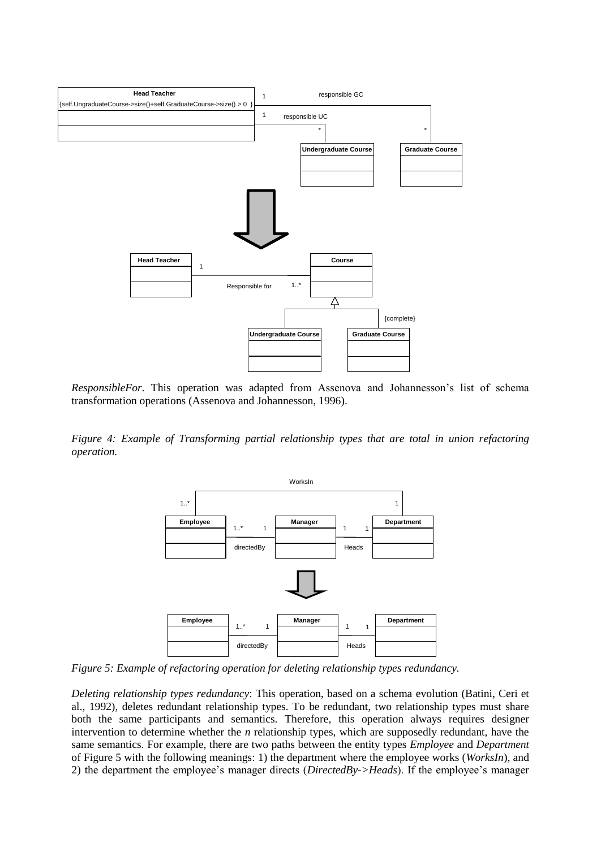

*ResponsibleFor*. This operation was adapted from Assenova and Johannesson's list of schema transformation operations (Assenova and Johannesson, 1996).

*Figure 4: Example of Transforming partial relationship types that are total in union refactoring operation.*



Figure 5: Example of *refactoring operation for deleting relationship types redundancy*.

*Deleting relationship types redundancy*: This operation, based on a schema evolution (Batini, Ceri et al., 1992), deletes redundant relationship types. To be redundant, two relationship types must share both the same participants and semantics. Therefore, this operation always requires designer intervention to determine whether the *n* relationship types, which are supposedly redundant, have the same semantics. For example, there are two paths between the entity types *Employee* and *Department* of Figure 5 with the following meanings: 1) the department where the employee works (*WorksIn*), and 2) the department the employee's manager directs (*DirectedBy->Heads*). If the employee's manager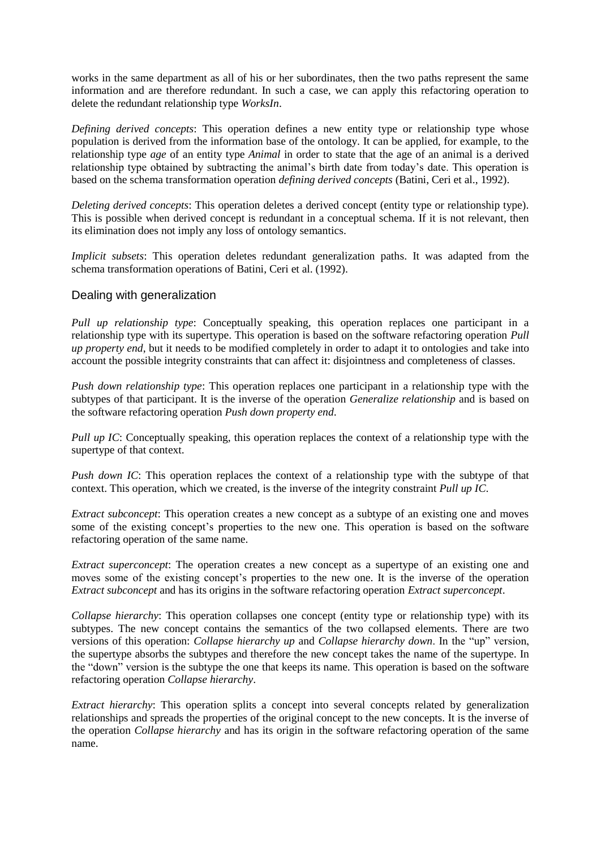works in the same department as all of his or her subordinates, then the two paths represent the same information and are therefore redundant. In such a case, we can apply this refactoring operation to delete the redundant relationship type *WorksIn*.

*Defining derived concepts*: This operation defines a new entity type or relationship type whose population is derived from the information base of the ontology. It can be applied, for example, to the relationship type *age* of an entity type *Animal* in order to state that the age of an animal is a derived relationship type obtained by subtracting the animal's birth date from today's date. This operation is based on the schema transformation operation *defining derived concepts* (Batini, Ceri et al., 1992).

*Deleting derived concepts*: This operation deletes a derived concept (entity type or relationship type). This is possible when derived concept is redundant in a conceptual schema. If it is not relevant, then its elimination does not imply any loss of ontology semantics.

*Implicit subsets*: This operation deletes redundant generalization paths. It was adapted from the schema transformation operations of Batini, Ceri et al. (1992).

#### Dealing with generalization

*Pull up relationship type*: Conceptually speaking, this operation replaces one participant in a relationship type with its supertype. This operation is based on the software refactoring operation *Pull up property end*, but it needs to be modified completely in order to adapt it to ontologies and take into account the possible integrity constraints that can affect it: disjointness and completeness of classes.

*Push down relationship type*: This operation replaces one participant in a relationship type with the subtypes of that participant. It is the inverse of the operation *Generalize relationship* and is based on the software refactoring operation *Push down property end*.

*Pull up IC*: Conceptually speaking, this operation replaces the context of a relationship type with the supertype of that context.

*Push down IC*: This operation replaces the context of a relationship type with the subtype of that context. This operation, which we created, is the inverse of the integrity constraint *Pull up IC*.

*Extract subconcept*: This operation creates a new concept as a subtype of an existing one and moves some of the existing concept's properties to the new one. This operation is based on the software refactoring operation of the same name.

*Extract superconcept*: The operation creates a new concept as a supertype of an existing one and moves some of the existing concept's properties to the new one. It is the inverse of the operation *Extract subconcept* and has its origins in the software refactoring operation *Extract superconcept*.

*Collapse hierarchy*: This operation collapses one concept (entity type or relationship type) with its subtypes. The new concept contains the semantics of the two collapsed elements. There are two versions of this operation: *Collapse hierarchy up* and *Collapse hierarchy down*. In the "up" version, the supertype absorbs the subtypes and therefore the new concept takes the name of the supertype. In the "down" version is the subtype the one that keeps its name. This operation is based on the software refactoring operation *Collapse hierarchy*.

*Extract hierarchy*: This operation splits a concept into several concepts related by generalization relationships and spreads the properties of the original concept to the new concepts. It is the inverse of the operation *Collapse hierarchy* and has its origin in the software refactoring operation of the same name.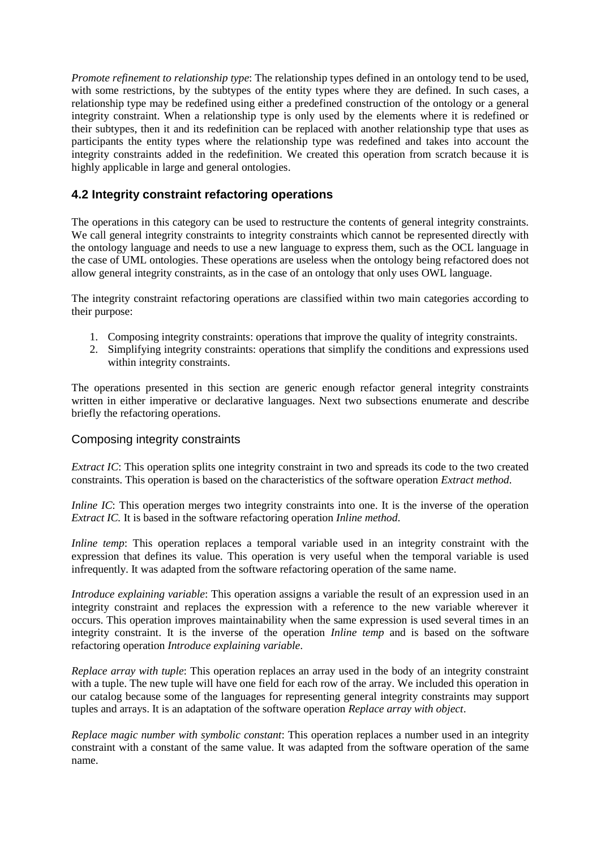*Promote refinement to relationship type*: The relationship types defined in an ontology tend to be used, with some restrictions, by the subtypes of the entity types where they are defined. In such cases, a relationship type may be redefined using either a predefined construction of the ontology or a general integrity constraint. When a relationship type is only used by the elements where it is redefined or their subtypes, then it and its redefinition can be replaced with another relationship type that uses as participants the entity types where the relationship type was redefined and takes into account the integrity constraints added in the redefinition. We created this operation from scratch because it is highly applicable in large and general ontologies.

# **4.2 Integrity constraint refactoring operations**

The operations in this category can be used to restructure the contents of general integrity constraints. We call general integrity constraints to integrity constraints which cannot be represented directly with the ontology language and needs to use a new language to express them, such as the OCL language in the case of UML ontologies. These operations are useless when the ontology being refactored does not allow general integrity constraints, as in the case of an ontology that only uses OWL language.

The integrity constraint refactoring operations are classified within two main categories according to their purpose:

- 1. Composing integrity constraints: operations that improve the quality of integrity constraints.
- 2. Simplifying integrity constraints: operations that simplify the conditions and expressions used within integrity constraints.

The operations presented in this section are generic enough refactor general integrity constraints written in either imperative or declarative languages. Next two subsections enumerate and describe briefly the refactoring operations.

#### Composing integrity constraints

*Extract IC*: This operation splits one integrity constraint in two and spreads its code to the two created constraints. This operation is based on the characteristics of the software operation *Extract method*.

*Inline IC*: This operation merges two integrity constraints into one. It is the inverse of the operation *Extract IC.* It is based in the software refactoring operation *Inline method*.

*Inline temp*: This operation replaces a temporal variable used in an integrity constraint with the expression that defines its value. This operation is very useful when the temporal variable is used infrequently. It was adapted from the software refactoring operation of the same name.

*Introduce explaining variable*: This operation assigns a variable the result of an expression used in an integrity constraint and replaces the expression with a reference to the new variable wherever it occurs. This operation improves maintainability when the same expression is used several times in an integrity constraint. It is the inverse of the operation *Inline temp* and is based on the software refactoring operation *Introduce explaining variable*.

*Replace array with tuple*: This operation replaces an array used in the body of an integrity constraint with a tuple. The new tuple will have one field for each row of the array. We included this operation in our catalog because some of the languages for representing general integrity constraints may support tuples and arrays. It is an adaptation of the software operation *Replace array with object*.

*Replace magic number with symbolic constant*: This operation replaces a number used in an integrity constraint with a constant of the same value. It was adapted from the software operation of the same name.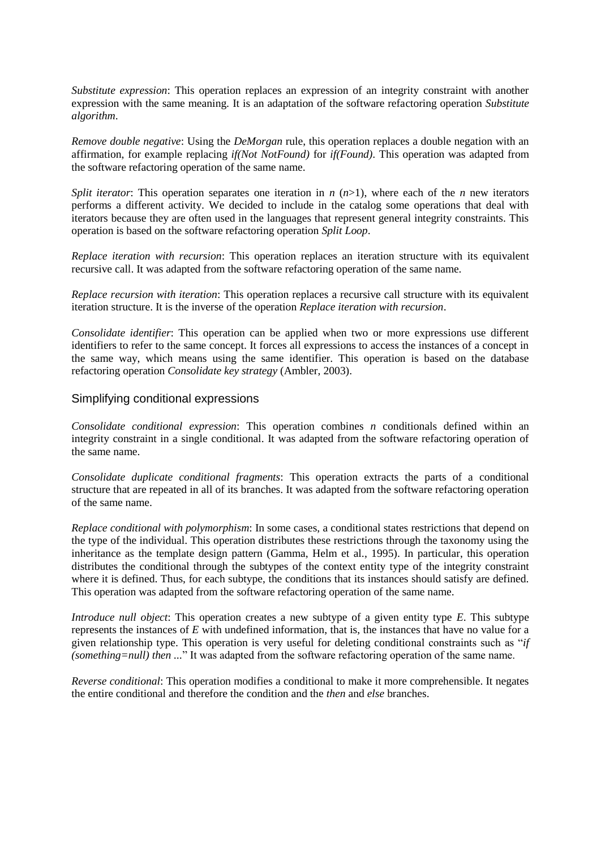*Substitute expression*: This operation replaces an expression of an integrity constraint with another expression with the same meaning. It is an adaptation of the software refactoring operation *Substitute algorithm*.

*Remove double negative*: Using the *DeMorgan* rule, this operation replaces a double negation with an affirmation, for example replacing *if(Not NotFound)* for *if(Found)*. This operation was adapted from the software refactoring operation of the same name.

*Split iterator*: This operation separates one iteration in  $n(n>1)$ , where each of the *n* new iterators performs a different activity. We decided to include in the catalog some operations that deal with iterators because they are often used in the languages that represent general integrity constraints. This operation is based on the software refactoring operation *Split Loop*.

*Replace iteration with recursion*: This operation replaces an iteration structure with its equivalent recursive call. It was adapted from the software refactoring operation of the same name.

*Replace recursion with iteration*: This operation replaces a recursive call structure with its equivalent iteration structure. It is the inverse of the operation *Replace iteration with recursion*.

*Consolidate identifier*: This operation can be applied when two or more expressions use different identifiers to refer to the same concept. It forces all expressions to access the instances of a concept in the same way, which means using the same identifier. This operation is based on the database refactoring operation *Consolidate key strategy* (Ambler, 2003).

#### Simplifying conditional expressions

*Consolidate conditional expression*: This operation combines *n* conditionals defined within an integrity constraint in a single conditional. It was adapted from the software refactoring operation of the same name.

*Consolidate duplicate conditional fragments*: This operation extracts the parts of a conditional structure that are repeated in all of its branches. It was adapted from the software refactoring operation of the same name.

*Replace conditional with polymorphism*: In some cases, a conditional states restrictions that depend on the type of the individual. This operation distributes these restrictions through the taxonomy using the inheritance as the template design pattern (Gamma, Helm et al., 1995). In particular, this operation distributes the conditional through the subtypes of the context entity type of the integrity constraint where it is defined. Thus, for each subtype, the conditions that its instances should satisfy are defined. This operation was adapted from the software refactoring operation of the same name.

*Introduce null object*: This operation creates a new subtype of a given entity type *E*. This subtype represents the instances of *E* with undefined information, that is, the instances that have no value for a given relationship type. This operation is very useful for deleting conditional constraints such as "*if (something=null) then ...*" It was adapted from the software refactoring operation of the same name.

*Reverse conditional*: This operation modifies a conditional to make it more comprehensible. It negates the entire conditional and therefore the condition and the *then* and *else* branches.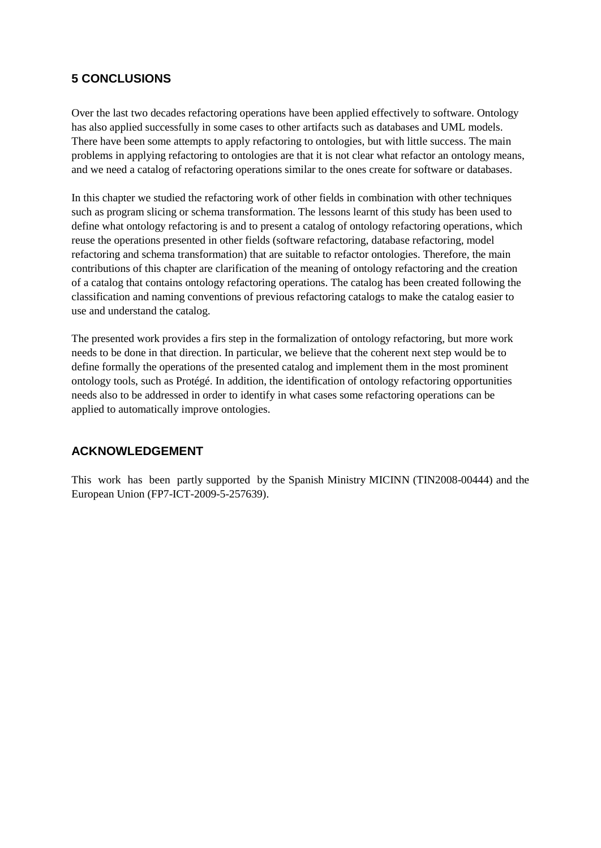# **5 CONCLUSIONS**

Over the last two decades refactoring operations have been applied effectively to software. Ontology has also applied successfully in some cases to other artifacts such as databases and UML models. There have been some attempts to apply refactoring to ontologies, but with little success. The main problems in applying refactoring to ontologies are that it is not clear what refactor an ontology means, and we need a catalog of refactoring operations similar to the ones create for software or databases.

In this chapter we studied the refactoring work of other fields in combination with other techniques such as program slicing or schema transformation. The lessons learnt of this study has been used to define what ontology refactoring is and to present a catalog of ontology refactoring operations, which reuse the operations presented in other fields (software refactoring, database refactoring, model refactoring and schema transformation) that are suitable to refactor ontologies. Therefore, the main contributions of this chapter are clarification of the meaning of ontology refactoring and the creation of a catalog that contains ontology refactoring operations. The catalog has been created following the classification and naming conventions of previous refactoring catalogs to make the catalog easier to use and understand the catalog.

The presented work provides a firs step in the formalization of ontology refactoring, but more work needs to be done in that direction. In particular, we believe that the coherent next step would be to define formally the operations of the presented catalog and implement them in the most prominent ontology tools, such as Protégé. In addition, the identification of ontology refactoring opportunities needs also to be addressed in order to identify in what cases some refactoring operations can be applied to automatically improve ontologies.

# **ACKNOWLEDGEMENT**

This work has been partly supported by the Spanish Ministry MICINN (TIN2008-00444) and the European Union (FP7-ICT-2009-5-257639).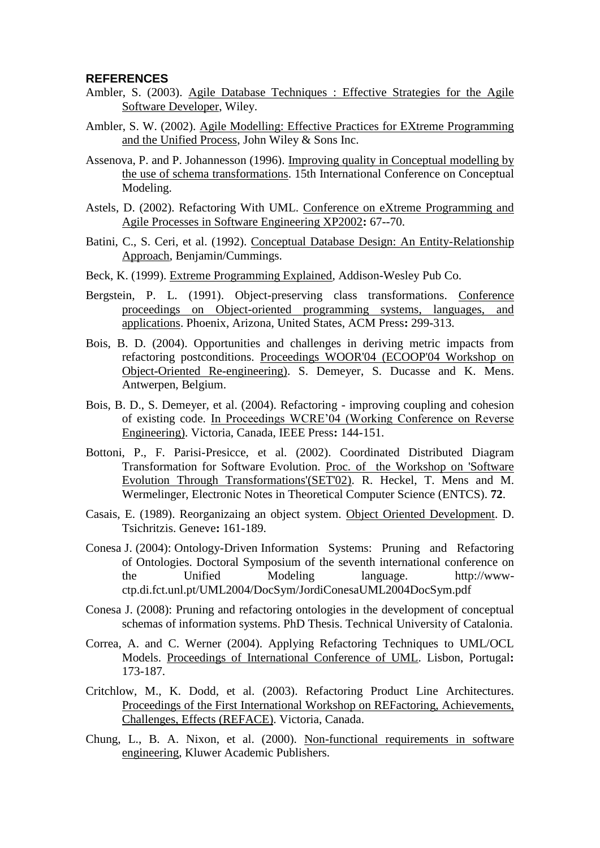#### **REFERENCES**

- Ambler, S. (2003). Agile Database Techniques : Effective Strategies for the Agile Software Developer, Wiley.
- Ambler, S. W. (2002). Agile Modelling: Effective Practices for EXtreme Programming and the Unified Process, John Wiley & Sons Inc.
- Assenova, P. and P. Johannesson (1996). Improving quality in Conceptual modelling by the use of schema transformations. 15th International Conference on Conceptual Modeling.
- Astels, D. (2002). Refactoring With UML. Conference on eXtreme Programming and Agile Processes in Software Engineering XP2002**:** 67--70.
- Batini, C., S. Ceri, et al. (1992). Conceptual Database Design: An Entity-Relationship Approach, Benjamin/Cummings.
- Beck, K. (1999). Extreme Programming Explained, Addison-Wesley Pub Co.
- Bergstein, P. L. (1991). Object-preserving class transformations. Conference proceedings on Object-oriented programming systems, languages, and applications. Phoenix, Arizona, United States, ACM Press**:** 299-313.
- Bois, B. D. (2004). Opportunities and challenges in deriving metric impacts from refactoring postconditions. Proceedings WOOR'04 (ECOOP'04 Workshop on Object-Oriented Re-engineering). S. Demeyer, S. Ducasse and K. Mens. Antwerpen, Belgium.
- Bois, B. D., S. Demeyer, et al. (2004). Refactoring improving coupling and cohesion of existing code. In Proceedings WCRE'04 (Working Conference on Reverse Engineering). Victoria, Canada, IEEE Press**:** 144-151.
- Bottoni, P., F. Parisi-Presicce, et al. (2002). Coordinated Distributed Diagram Transformation for Software Evolution. Proc. of the Workshop on 'Software Evolution Through Transformations'(SET'02). R. Heckel, T. Mens and M. Wermelinger, Electronic Notes in Theoretical Computer Science (ENTCS). **72**.
- Casais, E. (1989). Reorganizaing an object system. Object Oriented Development. D. Tsichritzis. Geneve**:** 161-189.
- Conesa J. (2004): Ontology-Driven Information Systems: Pruning and Refactoring of Ontologies. Doctoral Symposium of the seventh international conference on the Unified Modeling language. http://wwwctp.di.fct.unl.pt/UML2004/DocSym/JordiConesaUML2004DocSym.pdf
- Conesa J. (2008): Pruning and refactoring ontologies in the development of conceptual schemas of information systems. PhD Thesis. Technical University of Catalonia.
- Correa, A. and C. Werner (2004). Applying Refactoring Techniques to UML/OCL Models. Proceedings of International Conference of UML. Lisbon, Portugal**:**  173-187.
- Critchlow, M., K. Dodd, et al. (2003). Refactoring Product Line Architectures. Proceedings of the First International Workshop on REFactoring, Achievements, Challenges, Effects (REFACE). Victoria, Canada.
- Chung, L., B. A. Nixon, et al. (2000). Non-functional requirements in software engineering, Kluwer Academic Publishers.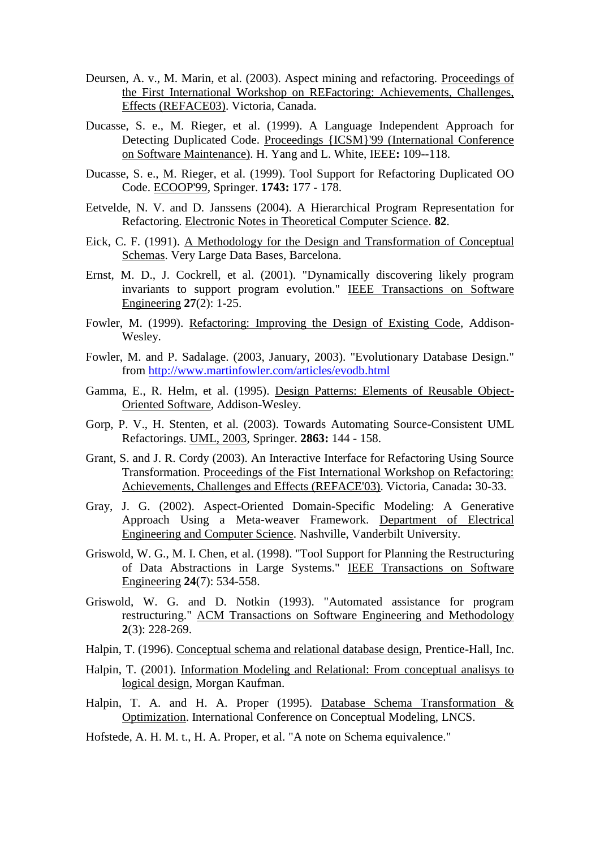- Deursen, A. v., M. Marin, et al. (2003). Aspect mining and refactoring. Proceedings of the First International Workshop on REFactoring: Achievements, Challenges, Effects (REFACE03). Victoria, Canada.
- Ducasse, S. e., M. Rieger, et al. (1999). A Language Independent Approach for Detecting Duplicated Code. Proceedings {ICSM}'99 (International Conference on Software Maintenance). H. Yang and L. White, IEEE**:** 109--118.
- Ducasse, S. e., M. Rieger, et al. (1999). Tool Support for Refactoring Duplicated OO Code. ECOOP'99, Springer. **1743:** 177 - 178.
- Eetvelde, N. V. and D. Janssens (2004). A Hierarchical Program Representation for Refactoring. Electronic Notes in Theoretical Computer Science. **82**.
- Eick, C. F. (1991). A Methodology for the Design and Transformation of Conceptual Schemas. Very Large Data Bases, Barcelona.
- Ernst, M. D., J. Cockrell, et al. (2001). "Dynamically discovering likely program invariants to support program evolution." IEEE Transactions on Software Engineering **27**(2): 1-25.
- Fowler, M. (1999). Refactoring: Improving the Design of Existing Code, Addison-Wesley.
- Fowler, M. and P. Sadalage. (2003, January, 2003). "Evolutionary Database Design." from<http://www.martinfowler.com/articles/evodb.html>
- Gamma, E., R. Helm, et al. (1995). Design Patterns: Elements of Reusable Object-Oriented Software, Addison-Wesley.
- Gorp, P. V., H. Stenten, et al. (2003). Towards Automating Source-Consistent UML Refactorings. UML, 2003, Springer. **2863:** 144 - 158.
- Grant, S. and J. R. Cordy (2003). An Interactive Interface for Refactoring Using Source Transformation. Proceedings of the Fist International Workshop on Refactoring: Achievements, Challenges and Effects (REFACE'03). Victoria, Canada**:** 30-33.
- Gray, J. G. (2002). Aspect-Oriented Domain-Specific Modeling: A Generative Approach Using a Meta-weaver Framework. Department of Electrical Engineering and Computer Science. Nashville, Vanderbilt University.
- Griswold, W. G., M. I. Chen, et al. (1998). "Tool Support for Planning the Restructuring of Data Abstractions in Large Systems." IEEE Transactions on Software Engineering **24**(7): 534-558.
- Griswold, W. G. and D. Notkin (1993). "Automated assistance for program restructuring." ACM Transactions on Software Engineering and Methodology **2**(3): 228-269.
- Halpin, T. (1996). Conceptual schema and relational database design, Prentice-Hall, Inc.
- Halpin, T. (2001). Information Modeling and Relational: From conceptual analisys to logical design, Morgan Kaufman.
- Halpin, T. A. and H. A. Proper (1995). Database Schema Transformation & Optimization. International Conference on Conceptual Modeling, LNCS.
- Hofstede, A. H. M. t., H. A. Proper, et al. "A note on Schema equivalence."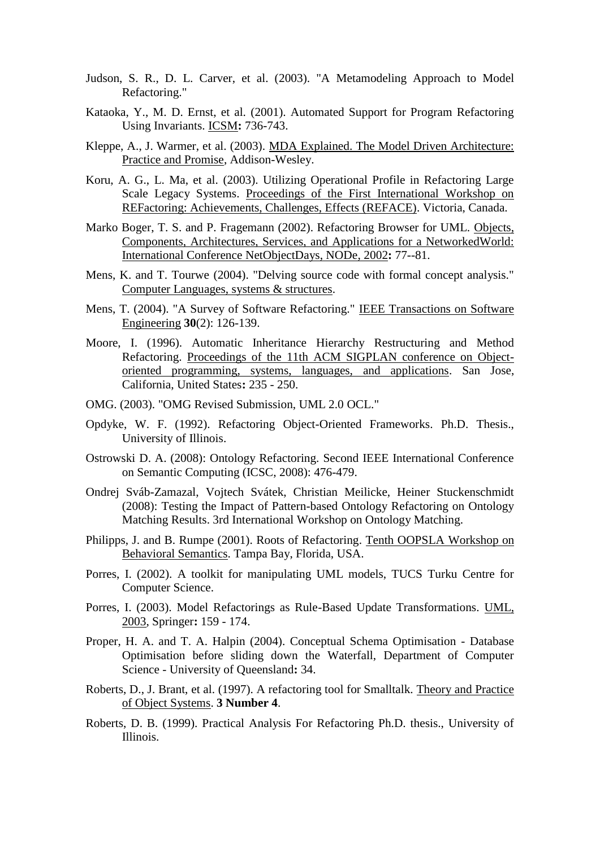- Judson, S. R., D. L. Carver, et al. (2003). "A Metamodeling Approach to Model Refactoring."
- Kataoka, Y., M. D. Ernst, et al. (2001). Automated Support for Program Refactoring Using Invariants. ICSM**:** 736-743.
- Kleppe, A., J. Warmer, et al. (2003). MDA Explained. The Model Driven Architecture: Practice and Promise, Addison-Wesley.
- Koru, A. G., L. Ma, et al. (2003). Utilizing Operational Profile in Refactoring Large Scale Legacy Systems. Proceedings of the First International Workshop on REFactoring: Achievements, Challenges, Effects (REFACE). Victoria, Canada.
- Marko Boger, T. S. and P. Fragemann (2002). Refactoring Browser for UML. Objects, Components, Architectures, Services, and Applications for a NetworkedWorld: International Conference NetObjectDays, NODe, 2002**:** 77--81.
- Mens, K. and T. Tourwe (2004). "Delving source code with formal concept analysis." Computer Languages, systems & structures.
- Mens, T. (2004). "A Survey of Software Refactoring." IEEE Transactions on Software Engineering **30**(2): 126-139.
- Moore, I. (1996). Automatic Inheritance Hierarchy Restructuring and Method Refactoring. Proceedings of the 11th ACM SIGPLAN conference on Objectoriented programming, systems, languages, and applications. San Jose, California, United States**:** 235 - 250.
- OMG. (2003). "OMG Revised Submission, UML 2.0 OCL."
- Opdyke, W. F. (1992). Refactoring Object-Oriented Frameworks. Ph.D. Thesis., University of Illinois.
- Ostrowski D. A. (2008): Ontology Refactoring. Second IEEE International Conference on Semantic Computing (ICSC, 2008): 476-479.
- Ondrej Sváb-Zamazal, Vojtech Svátek, Christian Meilicke, Heiner Stuckenschmidt (2008): Testing the Impact of Pattern-based Ontology Refactoring on Ontology Matching Results. 3rd International Workshop on Ontology Matching.
- Philipps, J. and B. Rumpe (2001). Roots of Refactoring. Tenth OOPSLA Workshop on Behavioral Semantics. Tampa Bay, Florida, USA.
- Porres, I. (2002). A toolkit for manipulating UML models, TUCS Turku Centre for Computer Science.
- Porres, I. (2003). Model Refactorings as Rule-Based Update Transformations. UML, 2003, Springer**:** 159 - 174.
- Proper, H. A. and T. A. Halpin (2004). Conceptual Schema Optimisation Database Optimisation before sliding down the Waterfall, Department of Computer Science - University of Queensland**:** 34.
- Roberts, D., J. Brant, et al. (1997). A refactoring tool for Smalltalk. Theory and Practice of Object Systems. **3 Number 4**.
- Roberts, D. B. (1999). Practical Analysis For Refactoring Ph.D. thesis., University of Illinois.